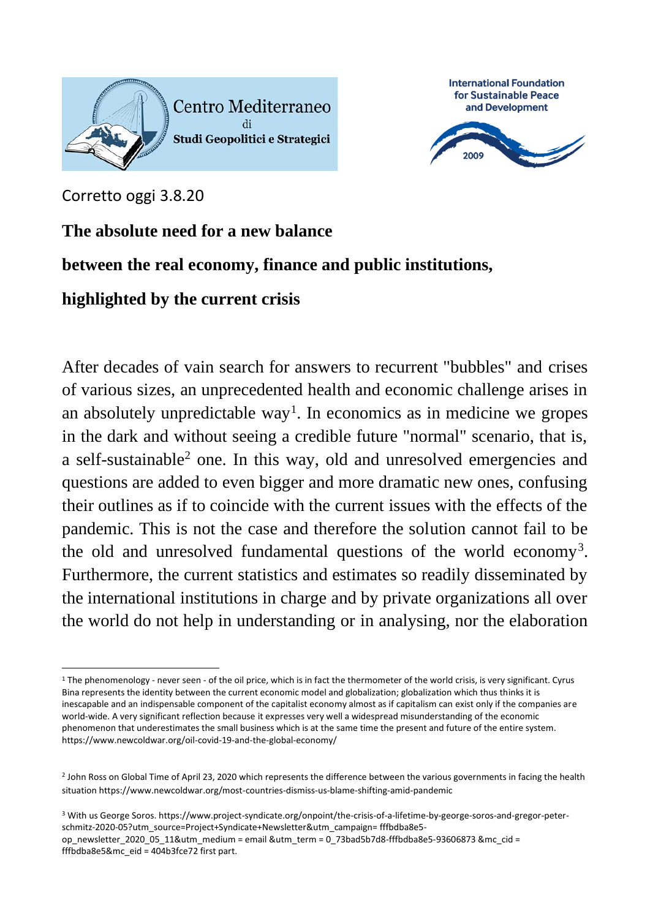



Corretto oggi 3.8.20

## **The absolute need for a new balance**

## **between the real economy, finance and public institutions,**

## **highlighted by the current crisis**

After decades of vain search for answers to recurrent "bubbles" and crises of various sizes, an unprecedented health and economic challenge arises in an absolutely unpredictable way<sup>1</sup>. In economics as in medicine we gropes in the dark and without seeing a credible future "normal" scenario, that is, a self-sustainable<sup>2</sup> one. In this way, old and unresolved emergencies and questions are added to even bigger and more dramatic new ones, confusing their outlines as if to coincide with the current issues with the effects of the pandemic. This is not the case and therefore the solution cannot fail to be the old and unresolved fundamental questions of the world economy<sup>3</sup>. Furthermore, the current statistics and estimates so readily disseminated by the international institutions in charge and by private organizations all over the world do not help in understanding or in analysing, nor the elaboration

<sup>3</sup> With us George Soros. https://www.project-syndicate.org/onpoint/the-crisis-of-a-lifetime-by-george-soros-and-gregor-peterschmitz-2020-05?utm\_source=Project+Syndicate+Newsletter&utm\_campaign= fffbdba8e5 op\_newsletter\_2020\_05\_11&utm\_medium = email &utm\_term = 0\_73bad5b7d8-fffbdba8e5-93606873 &mc\_cid = fffbdba8e5&mc\_eid = 404b3fce72 first part.

<sup>1</sup> The phenomenology - never seen - of the oil price, which is in fact the thermometer of the world crisis, is very significant. Cyrus Bina represents the identity between the current economic model and globalization; globalization which thus thinks it is inescapable and an indispensable component of the capitalist economy almost as if capitalism can exist only if the companies are world-wide. A very significant reflection because it expresses very well a widespread misunderstanding of the economic phenomenon that underestimates the small business which is at the same time the present and future of the entire system. https://www.newcoldwar.org/oil-covid-19-and-the-global-economy/

<sup>2</sup> John Ross on Global Time of April 23, 2020 which represents the difference between the various governments in facing the health situation https://www.newcoldwar.org/most-countries-dismiss-us-blame-shifting-amid-pandemic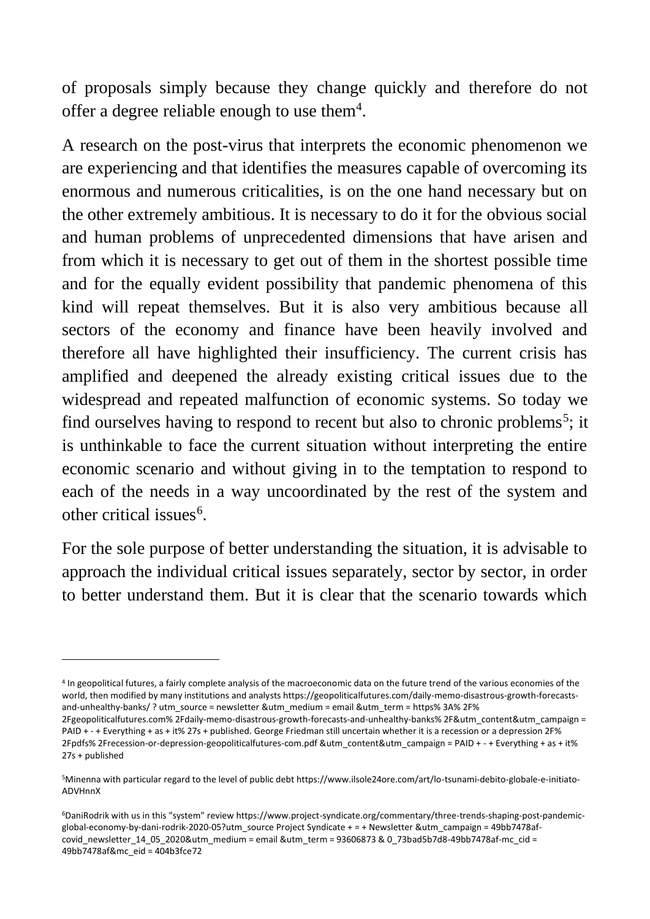of proposals simply because they change quickly and therefore do not offer a degree reliable enough to use them<sup>4</sup>.

A research on the post-virus that interprets the economic phenomenon we are experiencing and that identifies the measures capable of overcoming its enormous and numerous criticalities, is on the one hand necessary but on the other extremely ambitious. It is necessary to do it for the obvious social and human problems of unprecedented dimensions that have arisen and from which it is necessary to get out of them in the shortest possible time and for the equally evident possibility that pandemic phenomena of this kind will repeat themselves. But it is also very ambitious because all sectors of the economy and finance have been heavily involved and therefore all have highlighted their insufficiency. The current crisis has amplified and deepened the already existing critical issues due to the widespread and repeated malfunction of economic systems. So today we find ourselves having to respond to recent but also to chronic problems<sup>5</sup>; it is unthinkable to face the current situation without interpreting the entire economic scenario and without giving in to the temptation to respond to each of the needs in a way uncoordinated by the rest of the system and other critical issues<sup>6</sup>.

For the sole purpose of better understanding the situation, it is advisable to approach the individual critical issues separately, sector by sector, in order to better understand them. But it is clear that the scenario towards which

<sup>4</sup> In geopolitical futures, a fairly complete analysis of the macroeconomic data on the future trend of the various economies of the world, then modified by many institutions and analysts https://geopoliticalfutures.com/daily-memo-disastrous-growth-forecastsand-unhealthy-banks/ ? utm\_source = newsletter &utm\_medium = email &utm\_term = https% 3A% 2F%

<sup>2</sup>Fgeopoliticalfutures.com% 2Fdaily-memo-disastrous-growth-forecasts-and-unhealthy-banks% 2F&utm\_content&utm\_campaign = PAID + - + Everything + as + it% 27s + published. George Friedman still uncertain whether it is a recession or a depression 2F% 2Fpdfs% 2Frecession-or-depression-geopoliticalfutures-com.pdf &utm\_content&utm\_campaign = PAID + - + Everything + as + it% 27s + published

<sup>5</sup>Minenna with particular regard to the level of public debt https://www.ilsole24ore.com/art/lo-tsunami-debito-globale-e-initiato-ADVHnnX

<sup>6</sup>DaniRodrik with us in this "system" review https://www.project-syndicate.org/commentary/three-trends-shaping-post-pandemicglobal-economy-by-dani-rodrik-2020-05?utm\_source Project Syndicate + = + Newsletter &utm\_campaign = 49bb7478afcovid\_newsletter\_14\_05\_2020&utm\_medium = email &utm\_term = 93606873 & 0\_73bad5b7d8-49bb7478af-mc\_cid = 49bb7478af&mc\_eid = 404b3fce72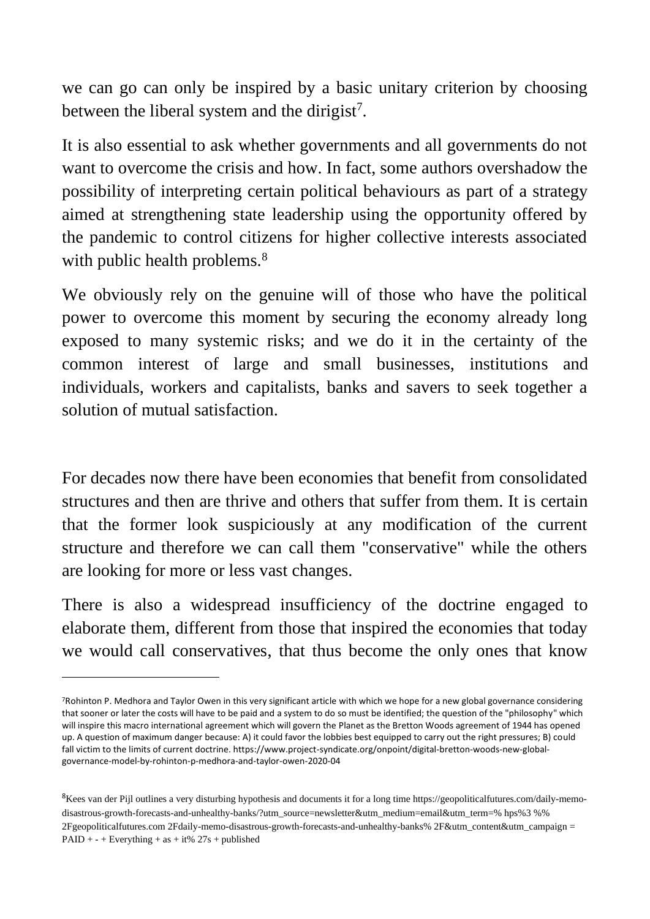we can go can only be inspired by a basic unitary criterion by choosing between the liberal system and the dirigist<sup>7</sup>.

It is also essential to ask whether governments and all governments do not want to overcome the crisis and how. In fact, some authors overshadow the possibility of interpreting certain political behaviours as part of a strategy aimed at strengthening state leadership using the opportunity offered by the pandemic to control citizens for higher collective interests associated with public health problems.<sup>8</sup>

We obviously rely on the genuine will of those who have the political power to overcome this moment by securing the economy already long exposed to many systemic risks; and we do it in the certainty of the common interest of large and small businesses, institutions and individuals, workers and capitalists, banks and savers to seek together a solution of mutual satisfaction.

For decades now there have been economies that benefit from consolidated structures and then are thrive and others that suffer from them. It is certain that the former look suspiciously at any modification of the current structure and therefore we can call them "conservative" while the others are looking for more or less vast changes.

There is also a widespread insufficiency of the doctrine engaged to elaborate them, different from those that inspired the economies that today we would call conservatives, that thus become the only ones that know

<sup>7</sup>Rohinton P. Medhora and Taylor Owen in this very significant article with which we hope for a new global governance considering that sooner or later the costs will have to be paid and a system to do so must be identified; the question of the "philosophy" which will inspire this macro international agreement which will govern the Planet as the Bretton Woods agreement of 1944 has opened up. A question of maximum danger because: A) it could favor the lobbies best equipped to carry out the right pressures; B) could fall victim to the limits of current doctrine. https://www.project-syndicate.org/onpoint/digital-bretton-woods-new-globalgovernance-model-by-rohinton-p-medhora-and-taylor-owen-2020-04

<sup>&</sup>lt;sup>8</sup>Kees van der Pijl outlines a very disturbing hypothesis and documents it for a long time https://geopoliticalfutures.com/daily-memodisastrous-growth-forecasts-and-unhealthy-banks/?utm\_source=newsletter&utm\_medium=email&utm\_term=% hps%3 %% 2Fgeopoliticalfutures.com 2Fdaily-memo-disastrous-growth-forecasts-and-unhealthy-banks% 2F&utm\_content&utm\_campaign = PAID +  $-$  + Everything + as + it% 27s + published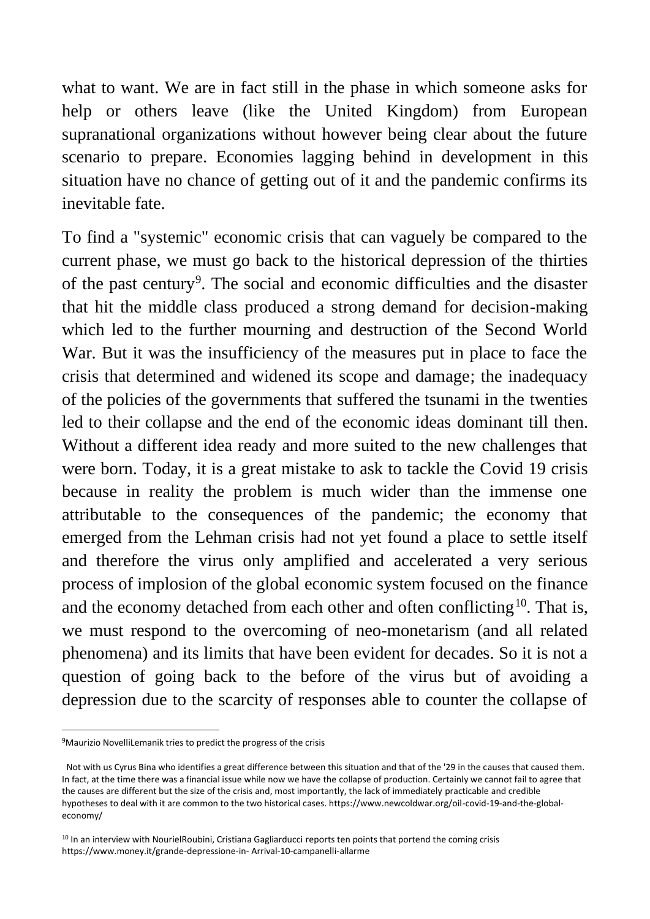what to want. We are in fact still in the phase in which someone asks for help or others leave (like the United Kingdom) from European supranational organizations without however being clear about the future scenario to prepare. Economies lagging behind in development in this situation have no chance of getting out of it and the pandemic confirms its inevitable fate.

To find a "systemic" economic crisis that can vaguely be compared to the current phase, we must go back to the historical depression of the thirties of the past century<sup>9</sup>. The social and economic difficulties and the disaster that hit the middle class produced a strong demand for decision-making which led to the further mourning and destruction of the Second World War. But it was the insufficiency of the measures put in place to face the crisis that determined and widened its scope and damage; the inadequacy of the policies of the governments that suffered the tsunami in the twenties led to their collapse and the end of the economic ideas dominant till then. Without a different idea ready and more suited to the new challenges that were born. Today, it is a great mistake to ask to tackle the Covid 19 crisis because in reality the problem is much wider than the immense one attributable to the consequences of the pandemic; the economy that emerged from the Lehman crisis had not yet found a place to settle itself and therefore the virus only amplified and accelerated a very serious process of implosion of the global economic system focused on the finance and the economy detached from each other and often conflicting<sup>10</sup>. That is, we must respond to the overcoming of neo-monetarism (and all related phenomena) and its limits that have been evident for decades. So it is not a question of going back to the before of the virus but of avoiding a depression due to the scarcity of responses able to counter the collapse of

<sup>&</sup>lt;sup>9</sup>Maurizio NovelliLemanik tries to predict the progress of the crisis

Not with us Cyrus Bina who identifies a great difference between this situation and that of the '29 in the causes that caused them. In fact, at the time there was a financial issue while now we have the collapse of production. Certainly we cannot fail to agree that the causes are different but the size of the crisis and, most importantly, the lack of immediately practicable and credible hypotheses to deal with it are common to the two historical cases. https://www.newcoldwar.org/oil-covid-19-and-the-globaleconomy/

<sup>&</sup>lt;sup>10</sup> In an interview with NourielRoubini, Cristiana Gagliarducci reports ten points that portend the coming crisis https://www.money.it/grande-depressione-in- Arrival-10-campanelli-allarme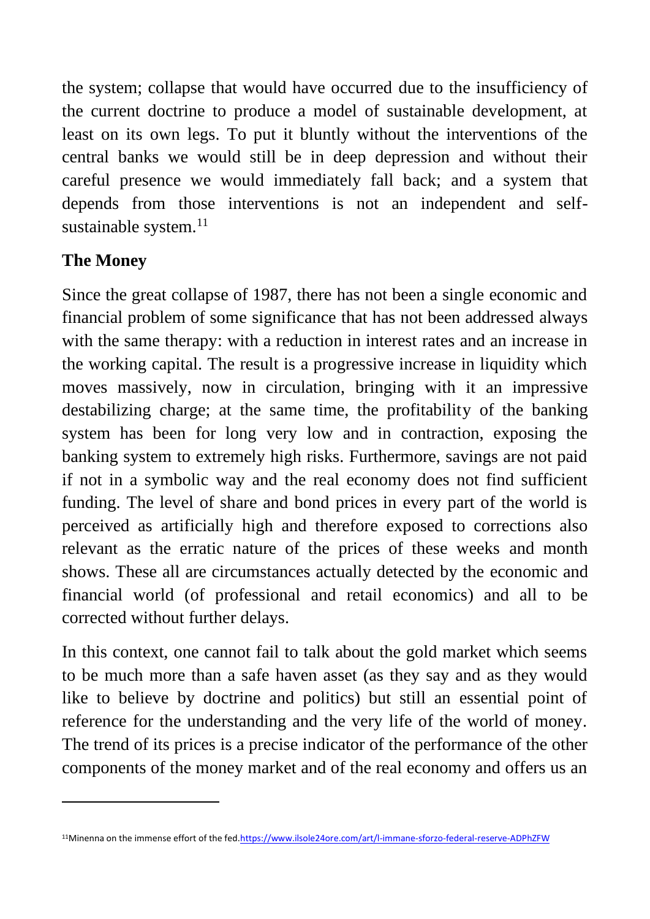the system; collapse that would have occurred due to the insufficiency of the current doctrine to produce a model of sustainable development, at least on its own legs. To put it bluntly without the interventions of the central banks we would still be in deep depression and without their careful presence we would immediately fall back; and a system that depends from those interventions is not an independent and selfsustainable system.<sup>11</sup>

# **The Money**

Since the great collapse of 1987, there has not been a single economic and financial problem of some significance that has not been addressed always with the same therapy: with a reduction in interest rates and an increase in the working capital. The result is a progressive increase in liquidity which moves massively, now in circulation, bringing with it an impressive destabilizing charge; at the same time, the profitability of the banking system has been for long very low and in contraction, exposing the banking system to extremely high risks. Furthermore, savings are not paid if not in a symbolic way and the real economy does not find sufficient funding. The level of share and bond prices in every part of the world is perceived as artificially high and therefore exposed to corrections also relevant as the erratic nature of the prices of these weeks and month shows. These all are circumstances actually detected by the economic and financial world (of professional and retail economics) and all to be corrected without further delays.

In this context, one cannot fail to talk about the gold market which seems to be much more than a safe haven asset (as they say and as they would like to believe by doctrine and politics) but still an essential point of reference for the understanding and the very life of the world of money. The trend of its prices is a precise indicator of the performance of the other components of the money market and of the real economy and offers us an

<sup>11</sup>Minenna on the immense effort of the fed[.https://www.ilsole24ore.com/art/l-immane-sforzo-federal-reserve-ADPhZFW](https://www.ilsole24ore.com/art/l-immane-sforzo-federal-reserve-ADPhZFW)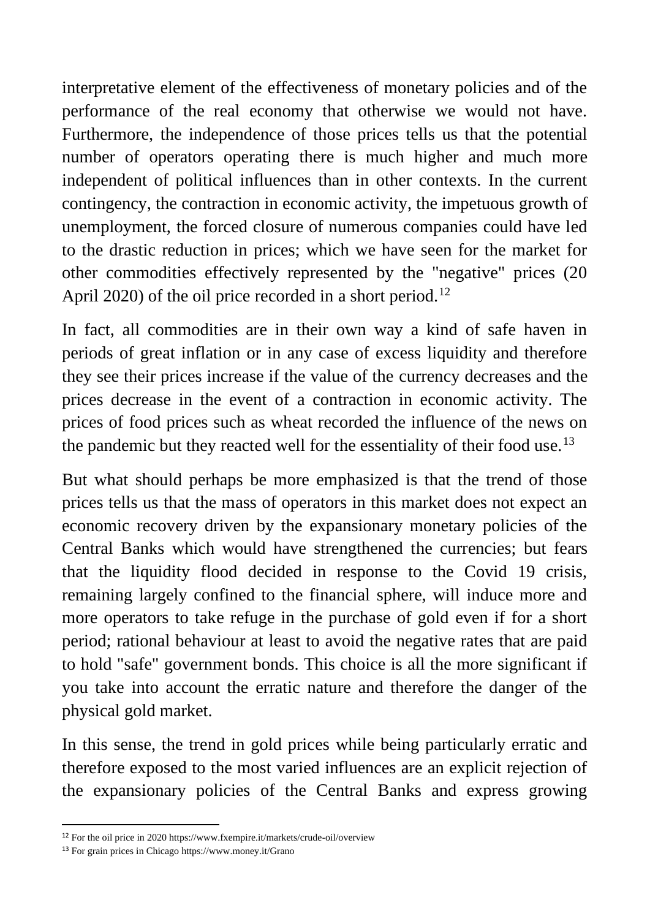interpretative element of the effectiveness of monetary policies and of the performance of the real economy that otherwise we would not have. Furthermore, the independence of those prices tells us that the potential number of operators operating there is much higher and much more independent of political influences than in other contexts. In the current contingency, the contraction in economic activity, the impetuous growth of unemployment, the forced closure of numerous companies could have led to the drastic reduction in prices; which we have seen for the market for other commodities effectively represented by the "negative" prices (20 April 2020) of the oil price recorded in a short period.<sup>12</sup>

In fact, all commodities are in their own way a kind of safe haven in periods of great inflation or in any case of excess liquidity and therefore they see their prices increase if the value of the currency decreases and the prices decrease in the event of a contraction in economic activity. The prices of food prices such as wheat recorded the influence of the news on the pandemic but they reacted well for the essentiality of their food use.<sup>13</sup>

But what should perhaps be more emphasized is that the trend of those prices tells us that the mass of operators in this market does not expect an economic recovery driven by the expansionary monetary policies of the Central Banks which would have strengthened the currencies; but fears that the liquidity flood decided in response to the Covid 19 crisis, remaining largely confined to the financial sphere, will induce more and more operators to take refuge in the purchase of gold even if for a short period; rational behaviour at least to avoid the negative rates that are paid to hold "safe" government bonds. This choice is all the more significant if you take into account the erratic nature and therefore the danger of the physical gold market.

In this sense, the trend in gold prices while being particularly erratic and therefore exposed to the most varied influences are an explicit rejection of the expansionary policies of the Central Banks and express growing

<sup>12</sup> For the oil price in 2020 https://www.fxempire.it/markets/crude-oil/overview

<sup>13</sup> For grain prices in Chicago https://www.money.it/Grano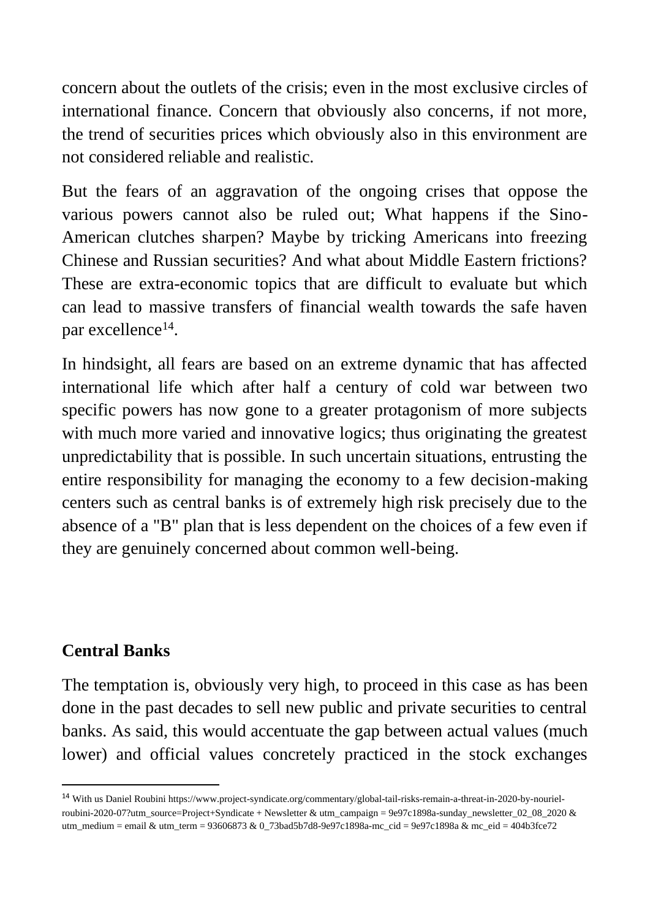concern about the outlets of the crisis; even in the most exclusive circles of international finance. Concern that obviously also concerns, if not more, the trend of securities prices which obviously also in this environment are not considered reliable and realistic.

But the fears of an aggravation of the ongoing crises that oppose the various powers cannot also be ruled out; What happens if the Sino-American clutches sharpen? Maybe by tricking Americans into freezing Chinese and Russian securities? And what about Middle Eastern frictions? These are extra-economic topics that are difficult to evaluate but which can lead to massive transfers of financial wealth towards the safe haven par excellence<sup>14</sup>.

In hindsight, all fears are based on an extreme dynamic that has affected international life which after half a century of cold war between two specific powers has now gone to a greater protagonism of more subjects with much more varied and innovative logics; thus originating the greatest unpredictability that is possible. In such uncertain situations, entrusting the entire responsibility for managing the economy to a few decision-making centers such as central banks is of extremely high risk precisely due to the absence of a "B" plan that is less dependent on the choices of a few even if they are genuinely concerned about common well-being.

## **Central Banks**

The temptation is, obviously very high, to proceed in this case as has been done in the past decades to sell new public and private securities to central banks. As said, this would accentuate the gap between actual values (much lower) and official values concretely practiced in the stock exchanges

<sup>14</sup> With us Daniel Roubini https://www.project-syndicate.org/commentary/global-tail-risks-remain-a-threat-in-2020-by-nourielroubini-2020-07?utm\_source=Project+Syndicate + Newsletter & utm\_campaign = 9e97c1898a-sunday\_newsletter\_02\_08\_2020 & utm\_medium = email & utm\_term = 93606873 & 0\_73bad5b7d8-9e97c1898a-mc\_cid = 9e97c1898a & mc\_eid = 404b3fce72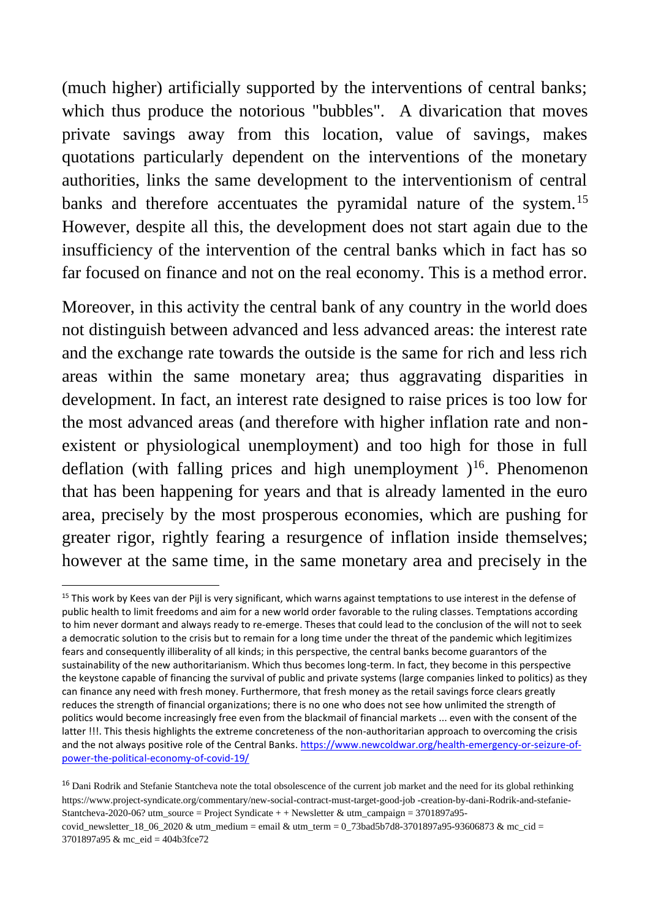(much higher) artificially supported by the interventions of central banks; which thus produce the notorious "bubbles". A divarication that moves private savings away from this location, value of savings, makes quotations particularly dependent on the interventions of the monetary authorities, links the same development to the interventionism of central banks and therefore accentuates the pyramidal nature of the system.<sup>15</sup> However, despite all this, the development does not start again due to the insufficiency of the intervention of the central banks which in fact has so far focused on finance and not on the real economy. This is a method error.

Moreover, in this activity the central bank of any country in the world does not distinguish between advanced and less advanced areas: the interest rate and the exchange rate towards the outside is the same for rich and less rich areas within the same monetary area; thus aggravating disparities in development. In fact, an interest rate designed to raise prices is too low for the most advanced areas (and therefore with higher inflation rate and nonexistent or physiological unemployment) and too high for those in full deflation (with falling prices and high unemployment  $1^{16}$ . Phenomenon that has been happening for years and that is already lamented in the euro area, precisely by the most prosperous economies, which are pushing for greater rigor, rightly fearing a resurgence of inflation inside themselves; however at the same time, in the same monetary area and precisely in the

<sup>&</sup>lt;sup>15</sup> This work by Kees van der Pijl is very significant, which warns against temptations to use interest in the defense of public health to limit freedoms and aim for a new world order favorable to the ruling classes. Temptations according to him never dormant and always ready to re-emerge. Theses that could lead to the conclusion of the will not to seek a democratic solution to the crisis but to remain for a long time under the threat of the pandemic which legitimizes fears and consequently illiberality of all kinds; in this perspective, the central banks become guarantors of the sustainability of the new authoritarianism. Which thus becomes long-term. In fact, they become in this perspective the keystone capable of financing the survival of public and private systems (large companies linked to politics) as they can finance any need with fresh money. Furthermore, that fresh money as the retail savings force clears greatly reduces the strength of financial organizations; there is no one who does not see how unlimited the strength of politics would become increasingly free even from the blackmail of financial markets ... even with the consent of the latter !!!. This thesis highlights the extreme concreteness of the non-authoritarian approach to overcoming the crisis and the not always positive role of the Central Banks. [https://www.newcoldwar.org/health-emergency-or-seizure-of](https://www.newcoldwar.org/health-emergency-or-seizure-of-power-the-political-economy-of-covid-19/)[power-the-political-economy-of-covid-19/](https://www.newcoldwar.org/health-emergency-or-seizure-of-power-the-political-economy-of-covid-19/)

<sup>&</sup>lt;sup>16</sup> Dani Rodrik and Stefanie Stantcheva note the total obsolescence of the current job market and the need for its global rethinking https://www.project-syndicate.org/commentary/new-social-contract-must-target-good-job -creation-by-dani-Rodrik-and-stefanie-Stantcheva-2020-06? utm\_source = Project Syndicate + + Newsletter & utm\_campaign =  $3701897a95-$ 

covid\_newsletter\_18\_06\_2020 & utm\_medium = email & utm\_term =  $0$ \_73bad5b7d8-3701897a95-93606873 & mc\_cid = 3701897a95 & mc\_eid = 404b3fce72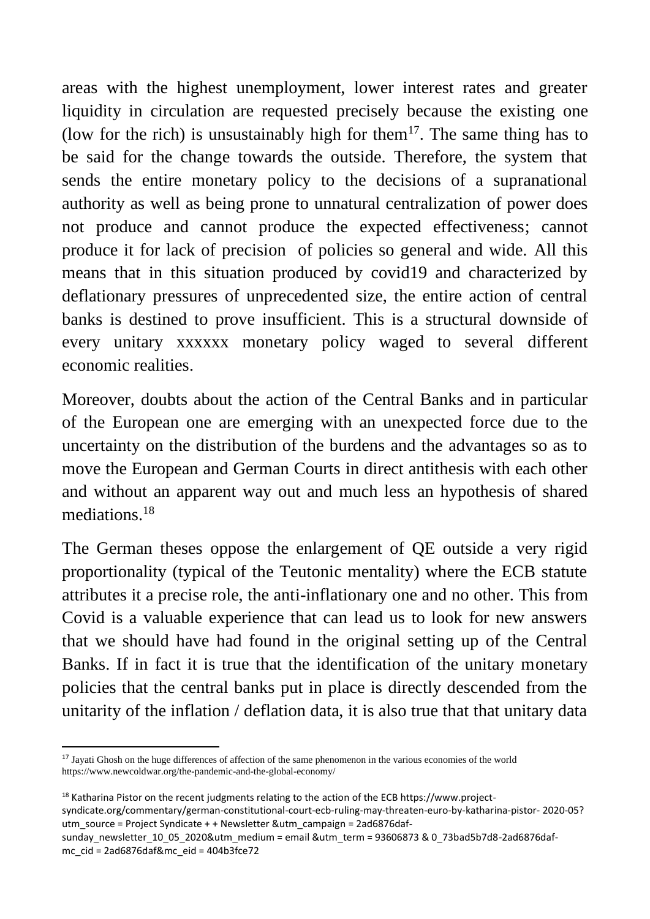areas with the highest unemployment, lower interest rates and greater liquidity in circulation are requested precisely because the existing one (low for the rich) is unsustainably high for them<sup>17</sup>. The same thing has to be said for the change towards the outside. Therefore, the system that sends the entire monetary policy to the decisions of a supranational authority as well as being prone to unnatural centralization of power does not produce and cannot produce the expected effectiveness; cannot produce it for lack of precision of policies so general and wide. All this means that in this situation produced by covid19 and characterized by deflationary pressures of unprecedented size, the entire action of central banks is destined to prove insufficient. This is a structural downside of every unitary xxxxxx monetary policy waged to several different economic realities.

Moreover, doubts about the action of the Central Banks and in particular of the European one are emerging with an unexpected force due to the uncertainty on the distribution of the burdens and the advantages so as to move the European and German Courts in direct antithesis with each other and without an apparent way out and much less an hypothesis of shared mediations.<sup>18</sup>

The German theses oppose the enlargement of QE outside a very rigid proportionality (typical of the Teutonic mentality) where the ECB statute attributes it a precise role, the anti-inflationary one and no other. This from Covid is a valuable experience that can lead us to look for new answers that we should have had found in the original setting up of the Central Banks. If in fact it is true that the identification of the unitary monetary policies that the central banks put in place is directly descended from the unitarity of the inflation / deflation data, it is also true that that unitary data

<sup>&</sup>lt;sup>17</sup> Jayati Ghosh on the huge differences of affection of the same phenomenon in the various economies of the world https://www.newcoldwar.org/the-pandemic-and-the-global-economy/

<sup>&</sup>lt;sup>18</sup> Katharina Pistor on the recent judgments relating to the action of the ECB https://www.projectsyndicate.org/commentary/german-constitutional-court-ecb-ruling-may-threaten-euro-by-katharina-pistor- 2020-05? utm\_source = Project Syndicate + + Newsletter &utm\_campaign = 2ad6876daf-

sunday\_newsletter\_10\_05\_2020&utm\_medium = email &utm\_term = 93606873 & 0\_73bad5b7d8-2ad6876dafmc\_cid = 2ad6876daf&mc\_eid = 404b3fce72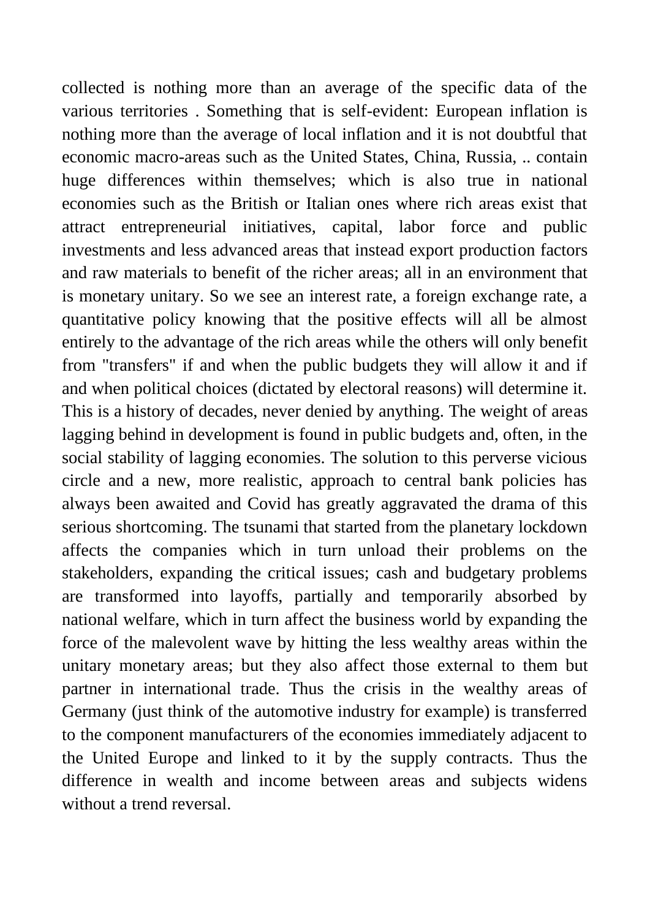collected is nothing more than an average of the specific data of the various territories . Something that is self-evident: European inflation is nothing more than the average of local inflation and it is not doubtful that economic macro-areas such as the United States, China, Russia, .. contain huge differences within themselves; which is also true in national economies such as the British or Italian ones where rich areas exist that attract entrepreneurial initiatives, capital, labor force and public investments and less advanced areas that instead export production factors and raw materials to benefit of the richer areas; all in an environment that is monetary unitary. So we see an interest rate, a foreign exchange rate, a quantitative policy knowing that the positive effects will all be almost entirely to the advantage of the rich areas while the others will only benefit from "transfers" if and when the public budgets they will allow it and if and when political choices (dictated by electoral reasons) will determine it. This is a history of decades, never denied by anything. The weight of areas lagging behind in development is found in public budgets and, often, in the social stability of lagging economies. The solution to this perverse vicious circle and a new, more realistic, approach to central bank policies has always been awaited and Covid has greatly aggravated the drama of this serious shortcoming. The tsunami that started from the planetary lockdown affects the companies which in turn unload their problems on the stakeholders, expanding the critical issues; cash and budgetary problems are transformed into layoffs, partially and temporarily absorbed by national welfare, which in turn affect the business world by expanding the force of the malevolent wave by hitting the less wealthy areas within the unitary monetary areas; but they also affect those external to them but partner in international trade. Thus the crisis in the wealthy areas of Germany (just think of the automotive industry for example) is transferred to the component manufacturers of the economies immediately adjacent to the United Europe and linked to it by the supply contracts. Thus the difference in wealth and income between areas and subjects widens without a trend reversal.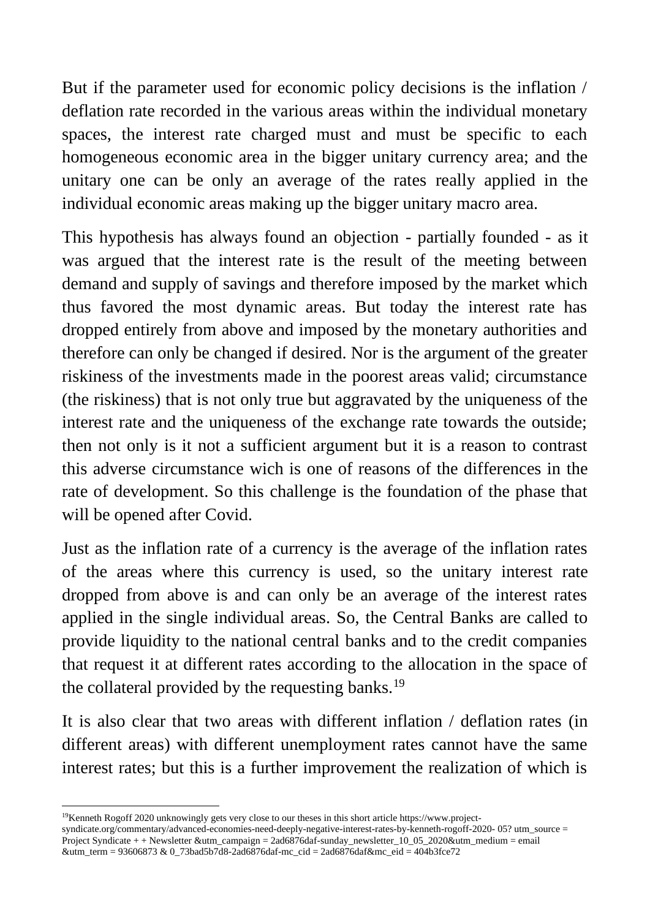But if the parameter used for economic policy decisions is the inflation / deflation rate recorded in the various areas within the individual monetary spaces, the interest rate charged must and must be specific to each homogeneous economic area in the bigger unitary currency area; and the unitary one can be only an average of the rates really applied in the individual economic areas making up the bigger unitary macro area.

This hypothesis has always found an objection - partially founded - as it was argued that the interest rate is the result of the meeting between demand and supply of savings and therefore imposed by the market which thus favored the most dynamic areas. But today the interest rate has dropped entirely from above and imposed by the monetary authorities and therefore can only be changed if desired. Nor is the argument of the greater riskiness of the investments made in the poorest areas valid; circumstance (the riskiness) that is not only true but aggravated by the uniqueness of the interest rate and the uniqueness of the exchange rate towards the outside; then not only is it not a sufficient argument but it is a reason to contrast this adverse circumstance wich is one of reasons of the differences in the rate of development. So this challenge is the foundation of the phase that will be opened after Covid.

Just as the inflation rate of a currency is the average of the inflation rates of the areas where this currency is used, so the unitary interest rate dropped from above is and can only be an average of the interest rates applied in the single individual areas. So, the Central Banks are called to provide liquidity to the national central banks and to the credit companies that request it at different rates according to the allocation in the space of the collateral provided by the requesting banks.<sup>19</sup>

It is also clear that two areas with different inflation / deflation rates (in different areas) with different unemployment rates cannot have the same interest rates; but this is a further improvement the realization of which is

<sup>19</sup>Kenneth Rogoff 2020 unknowingly gets very close to our theses in this short article https://www.project-

syndicate.org/commentary/advanced-economies-need-deeply-negative-interest-rates-by-kenneth-rogoff-2020- 05? utm\_source = Project Syndicate + + Newsletter &utm\_campaign = 2ad6876daf-sunday\_newsletter\_10\_05\_2020&utm\_medium = email &utm\_term = 93606873 & 0\_73bad5b7d8-2ad6876daf-mc\_cid = 2ad6876daf&mc\_eid = 404b3fce72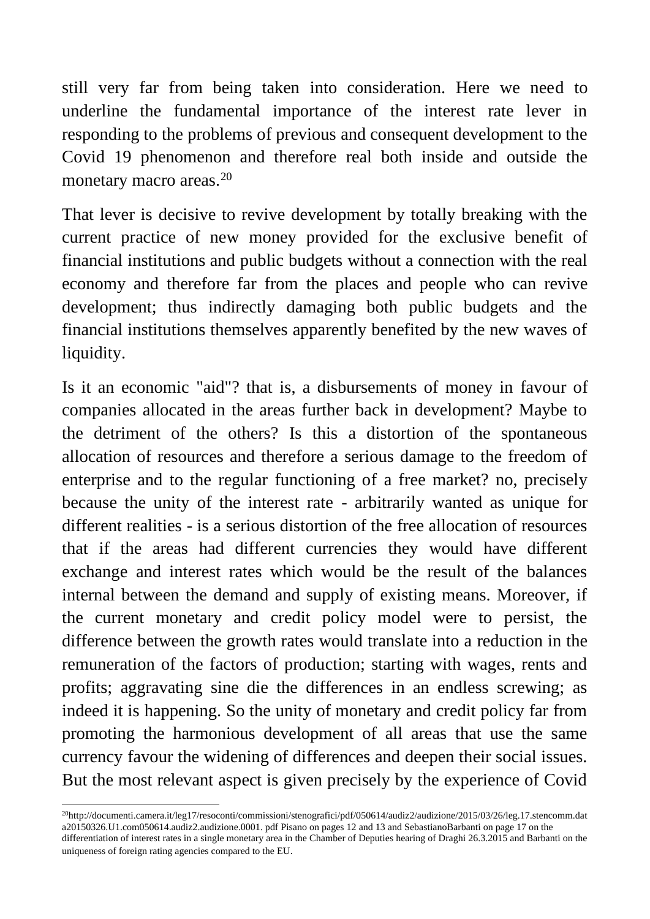still very far from being taken into consideration. Here we need to underline the fundamental importance of the interest rate lever in responding to the problems of previous and consequent development to the Covid 19 phenomenon and therefore real both inside and outside the monetary macro areas.<sup>20</sup>

That lever is decisive to revive development by totally breaking with the current practice of new money provided for the exclusive benefit of financial institutions and public budgets without a connection with the real economy and therefore far from the places and people who can revive development; thus indirectly damaging both public budgets and the financial institutions themselves apparently benefited by the new waves of liquidity.

Is it an economic "aid"? that is, a disbursements of money in favour of companies allocated in the areas further back in development? Maybe to the detriment of the others? Is this a distortion of the spontaneous allocation of resources and therefore a serious damage to the freedom of enterprise and to the regular functioning of a free market? no, precisely because the unity of the interest rate - arbitrarily wanted as unique for different realities - is a serious distortion of the free allocation of resources that if the areas had different currencies they would have different exchange and interest rates which would be the result of the balances internal between the demand and supply of existing means. Moreover, if the current monetary and credit policy model were to persist, the difference between the growth rates would translate into a reduction in the remuneration of the factors of production; starting with wages, rents and profits; aggravating sine die the differences in an endless screwing; as indeed it is happening. So the unity of monetary and credit policy far from promoting the harmonious development of all areas that use the same currency favour the widening of differences and deepen their social issues. But the most relevant aspect is given precisely by the experience of Covid

<sup>&</sup>lt;sup>20</sup>http://documenti.camera.it/leg17/resoconti/commissioni/stenografici/pdf/050614/audiz2/audizione/2015/03/26/leg.17.stencomm.dat a20150326.U1.com050614.audiz2.audizione.0001. pdf Pisano on pages 12 and 13 and SebastianoBarbanti on page 17 on the differentiation of interest rates in a single monetary area in the Chamber of Deputies hearing of Draghi 26.3.2015 and Barbanti on the uniqueness of foreign rating agencies compared to the EU.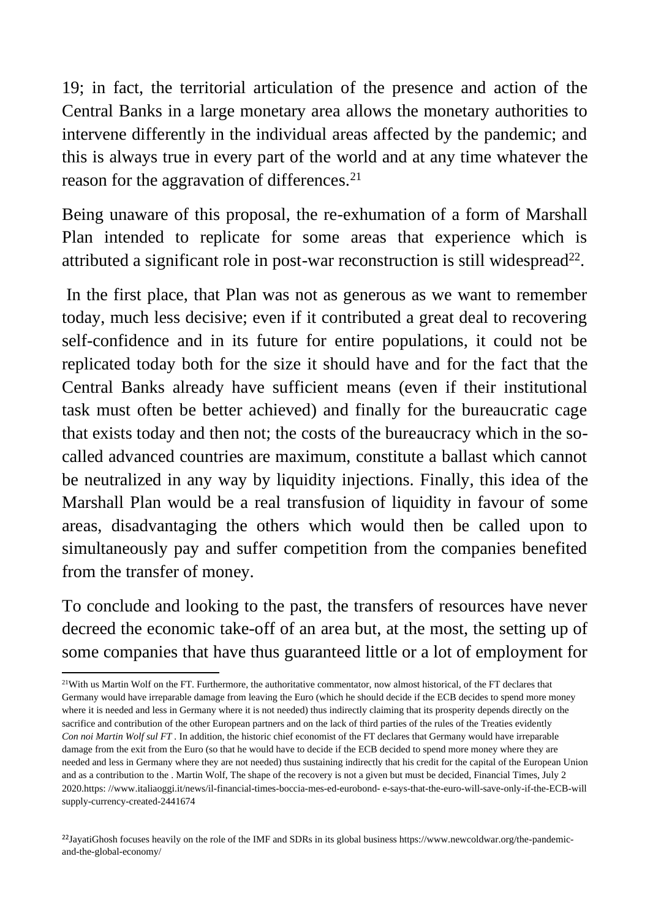19; in fact, the territorial articulation of the presence and action of the Central Banks in a large monetary area allows the monetary authorities to intervene differently in the individual areas affected by the pandemic; and this is always true in every part of the world and at any time whatever the reason for the aggravation of differences.<sup>21</sup>

Being unaware of this proposal, the re-exhumation of a form of Marshall Plan intended to replicate for some areas that experience which is attributed a significant role in post-war reconstruction is still widespread<sup>22</sup>.

In the first place, that Plan was not as generous as we want to remember today, much less decisive; even if it contributed a great deal to recovering self-confidence and in its future for entire populations, it could not be replicated today both for the size it should have and for the fact that the Central Banks already have sufficient means (even if their institutional task must often be better achieved) and finally for the bureaucratic cage that exists today and then not; the costs of the bureaucracy which in the socalled advanced countries are maximum, constitute a ballast which cannot be neutralized in any way by liquidity injections. Finally, this idea of the Marshall Plan would be a real transfusion of liquidity in favour of some areas, disadvantaging the others which would then be called upon to simultaneously pay and suffer competition from the companies benefited from the transfer of money.

To conclude and looking to the past, the transfers of resources have never decreed the economic take-off of an area but, at the most, the setting up of some companies that have thus guaranteed little or a lot of employment for

 $21$ With us Martin Wolf on the FT. Furthermore, the authoritative commentator, now almost historical, of the FT declares that Germany would have irreparable damage from leaving the Euro (which he should decide if the ECB decides to spend more money where it is needed and less in Germany where it is not needed) thus indirectly claiming that its prosperity depends directly on the sacrifice and contribution of the other European partners and on the lack of third parties of the rules of the Treaties evidently *Con noi Martin Wolf sul FT .* In addition, the historic chief economist of the FT declares that Germany would have irreparable damage from the exit from the Euro (so that he would have to decide if the ECB decided to spend more money where they are needed and less in Germany where they are not needed) thus sustaining indirectly that his credit for the capital of the European Union and as a contribution to the . Martin Wolf, The shape of the recovery is not a given but must be decided, Financial Times, July 2 2020.https: //www.italiaoggi.it/news/il-financial-times-boccia-mes-ed-eurobond- e-says-that-the-euro-will-save-only-if-the-ECB-will supply-currency-created-2441674

 $^{22}$ JayatiGhosh focuses heavily on the role of the IMF and SDRs in its global business https://www.newcoldwar.org/the-pandemicand-the-global-economy/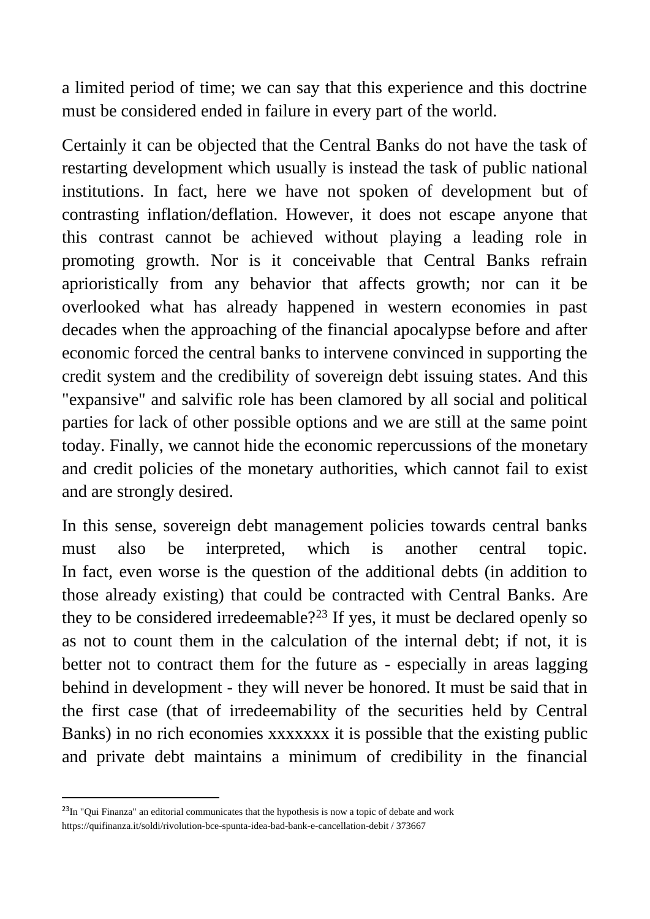a limited period of time; we can say that this experience and this doctrine must be considered ended in failure in every part of the world.

Certainly it can be objected that the Central Banks do not have the task of restarting development which usually is instead the task of public national institutions. In fact, here we have not spoken of development but of contrasting inflation/deflation. However, it does not escape anyone that this contrast cannot be achieved without playing a leading role in promoting growth. Nor is it conceivable that Central Banks refrain aprioristically from any behavior that affects growth; nor can it be overlooked what has already happened in western economies in past decades when the approaching of the financial apocalypse before and after economic forced the central banks to intervene convinced in supporting the credit system and the credibility of sovereign debt issuing states. And this "expansive" and salvific role has been clamored by all social and political parties for lack of other possible options and we are still at the same point today. Finally, we cannot hide the economic repercussions of the monetary and credit policies of the monetary authorities, which cannot fail to exist and are strongly desired.

In this sense, sovereign debt management policies towards central banks must also be interpreted, which is another central topic. In fact, even worse is the question of the additional debts (in addition to those already existing) that could be contracted with Central Banks. Are they to be considered irredeemable?<sup>23</sup> If yes, it must be declared openly so as not to count them in the calculation of the internal debt; if not, it is better not to contract them for the future as - especially in areas lagging behind in development - they will never be honored. It must be said that in the first case (that of irredeemability of the securities held by Central Banks) in no rich economies xxxxxxx it is possible that the existing public and private debt maintains a minimum of credibility in the financial

<sup>&</sup>lt;sup>23</sup>In "Qui Finanza" an editorial communicates that the hypothesis is now a topic of debate and work https://quifinanza.it/soldi/rivolution-bce-spunta-idea-bad-bank-e-cancellation-debit / 373667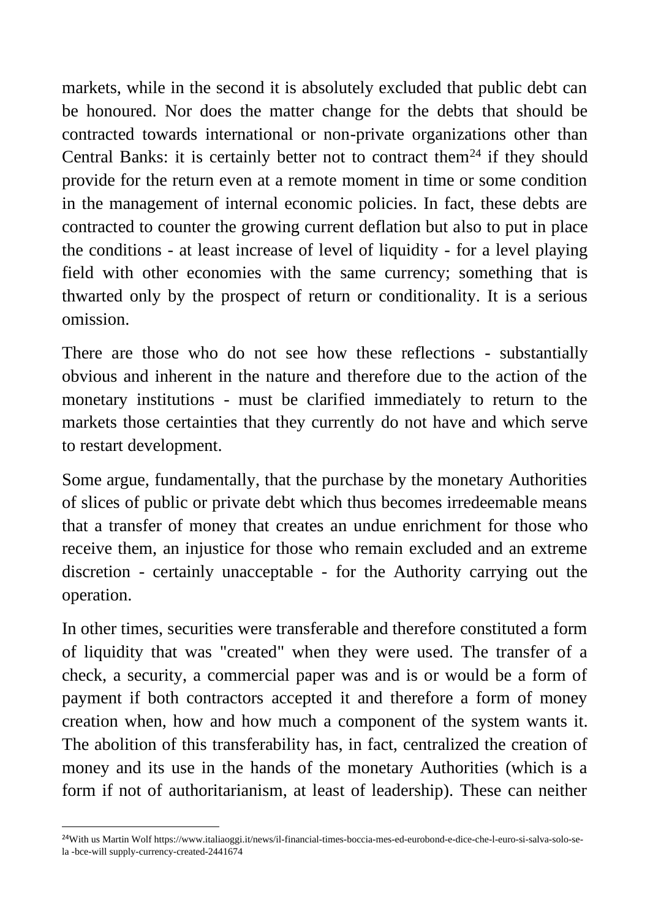markets, while in the second it is absolutely excluded that public debt can be honoured. Nor does the matter change for the debts that should be contracted towards international or non-private organizations other than Central Banks: it is certainly better not to contract them<sup>24</sup> if they should provide for the return even at a remote moment in time or some condition in the management of internal economic policies. In fact, these debts are contracted to counter the growing current deflation but also to put in place the conditions - at least increase of level of liquidity - for a level playing field with other economies with the same currency; something that is thwarted only by the prospect of return or conditionality. It is a serious omission.

There are those who do not see how these reflections - substantially obvious and inherent in the nature and therefore due to the action of the monetary institutions - must be clarified immediately to return to the markets those certainties that they currently do not have and which serve to restart development.

Some argue, fundamentally, that the purchase by the monetary Authorities of slices of public or private debt which thus becomes irredeemable means that a transfer of money that creates an undue enrichment for those who receive them, an injustice for those who remain excluded and an extreme discretion - certainly unacceptable - for the Authority carrying out the operation.

In other times, securities were transferable and therefore constituted a form of liquidity that was "created" when they were used. The transfer of a check, a security, a commercial paper was and is or would be a form of payment if both contractors accepted it and therefore a form of money creation when, how and how much a component of the system wants it. The abolition of this transferability has, in fact, centralized the creation of money and its use in the hands of the monetary Authorities (which is a form if not of authoritarianism, at least of leadership). These can neither

<sup>24</sup>With us Martin Wolf https://www.italiaoggi.it/news/il-financial-times-boccia-mes-ed-eurobond-e-dice-che-l-euro-si-salva-solo-sela -bce-will supply-currency-created-2441674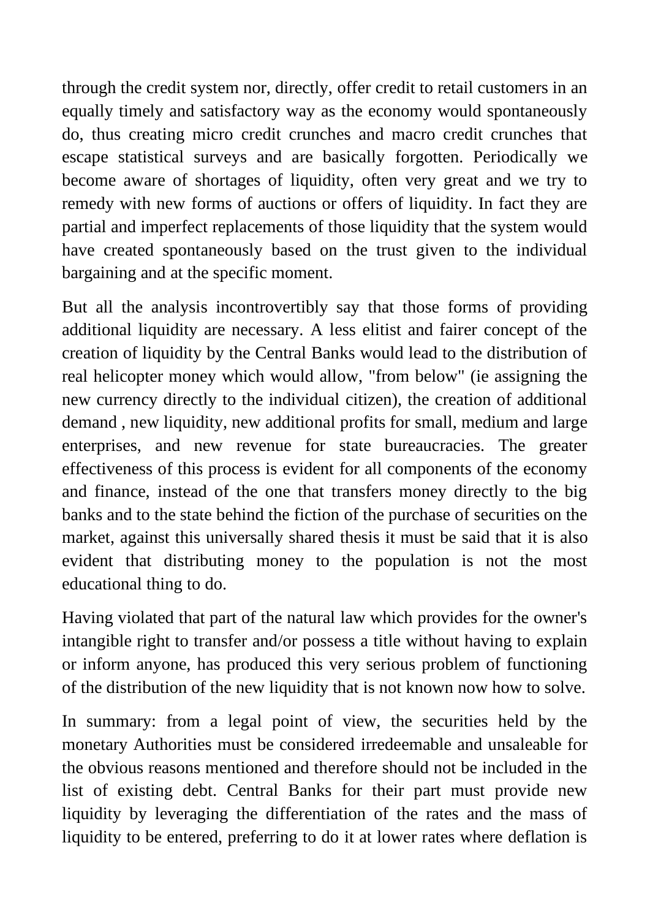through the credit system nor, directly, offer credit to retail customers in an equally timely and satisfactory way as the economy would spontaneously do, thus creating micro credit crunches and macro credit crunches that escape statistical surveys and are basically forgotten. Periodically we become aware of shortages of liquidity, often very great and we try to remedy with new forms of auctions or offers of liquidity. In fact they are partial and imperfect replacements of those liquidity that the system would have created spontaneously based on the trust given to the individual bargaining and at the specific moment.

But all the analysis incontrovertibly say that those forms of providing additional liquidity are necessary. A less elitist and fairer concept of the creation of liquidity by the Central Banks would lead to the distribution of real helicopter money which would allow, "from below" (ie assigning the new currency directly to the individual citizen), the creation of additional demand , new liquidity, new additional profits for small, medium and large enterprises, and new revenue for state bureaucracies. The greater effectiveness of this process is evident for all components of the economy and finance, instead of the one that transfers money directly to the big banks and to the state behind the fiction of the purchase of securities on the market, against this universally shared thesis it must be said that it is also evident that distributing money to the population is not the most educational thing to do.

Having violated that part of the natural law which provides for the owner's intangible right to transfer and/or possess a title without having to explain or inform anyone, has produced this very serious problem of functioning of the distribution of the new liquidity that is not known now how to solve.

In summary: from a legal point of view, the securities held by the monetary Authorities must be considered irredeemable and unsaleable for the obvious reasons mentioned and therefore should not be included in the list of existing debt. Central Banks for their part must provide new liquidity by leveraging the differentiation of the rates and the mass of liquidity to be entered, preferring to do it at lower rates where deflation is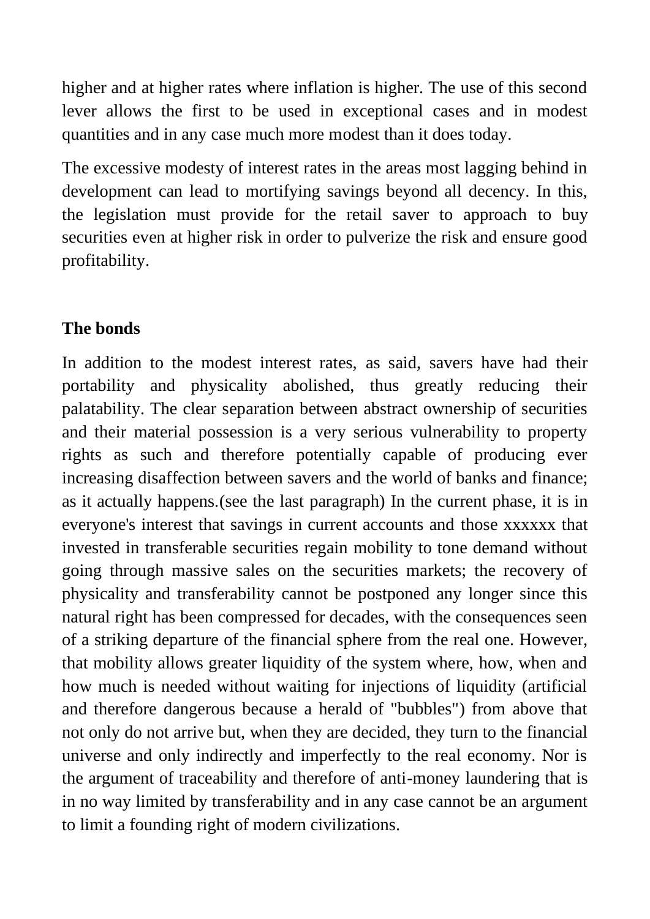higher and at higher rates where inflation is higher. The use of this second lever allows the first to be used in exceptional cases and in modest quantities and in any case much more modest than it does today.

The excessive modesty of interest rates in the areas most lagging behind in development can lead to mortifying savings beyond all decency. In this, the legislation must provide for the retail saver to approach to buy securities even at higher risk in order to pulverize the risk and ensure good profitability.

# **The bonds**

In addition to the modest interest rates, as said, savers have had their portability and physicality abolished, thus greatly reducing their palatability. The clear separation between abstract ownership of securities and their material possession is a very serious vulnerability to property rights as such and therefore potentially capable of producing ever increasing disaffection between savers and the world of banks and finance; as it actually happens.(see the last paragraph) In the current phase, it is in everyone's interest that savings in current accounts and those xxxxxx that invested in transferable securities regain mobility to tone demand without going through massive sales on the securities markets; the recovery of physicality and transferability cannot be postponed any longer since this natural right has been compressed for decades, with the consequences seen of a striking departure of the financial sphere from the real one. However, that mobility allows greater liquidity of the system where, how, when and how much is needed without waiting for injections of liquidity (artificial and therefore dangerous because a herald of "bubbles") from above that not only do not arrive but, when they are decided, they turn to the financial universe and only indirectly and imperfectly to the real economy. Nor is the argument of traceability and therefore of anti-money laundering that is in no way limited by transferability and in any case cannot be an argument to limit a founding right of modern civilizations.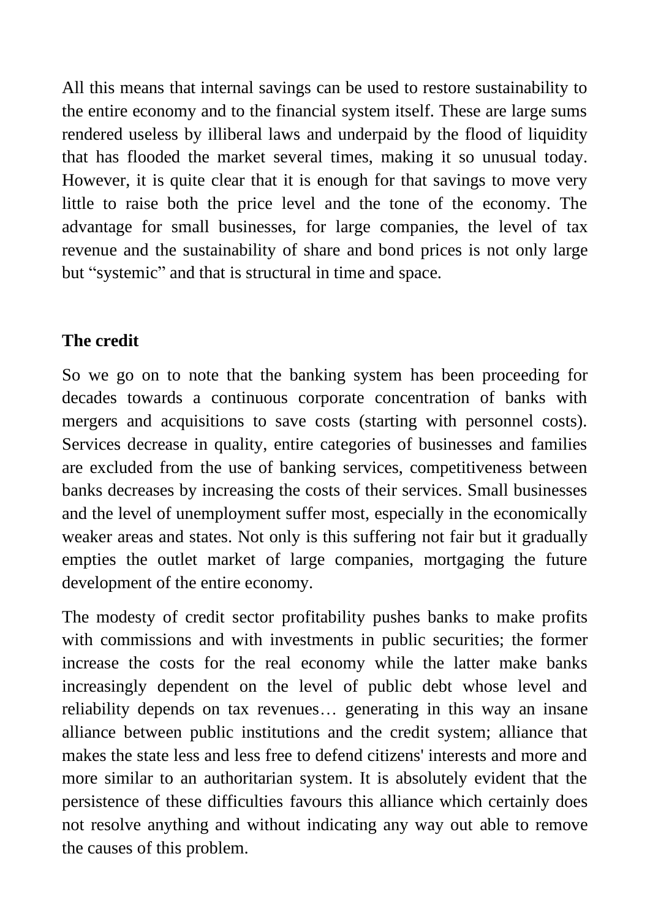All this means that internal savings can be used to restore sustainability to the entire economy and to the financial system itself. These are large sums rendered useless by illiberal laws and underpaid by the flood of liquidity that has flooded the market several times, making it so unusual today. However, it is quite clear that it is enough for that savings to move very little to raise both the price level and the tone of the economy. The advantage for small businesses, for large companies, the level of tax revenue and the sustainability of share and bond prices is not only large but "systemic" and that is structural in time and space.

# **The credit**

So we go on to note that the banking system has been proceeding for decades towards a continuous corporate concentration of banks with mergers and acquisitions to save costs (starting with personnel costs). Services decrease in quality, entire categories of businesses and families are excluded from the use of banking services, competitiveness between banks decreases by increasing the costs of their services. Small businesses and the level of unemployment suffer most, especially in the economically weaker areas and states. Not only is this suffering not fair but it gradually empties the outlet market of large companies, mortgaging the future development of the entire economy.

The modesty of credit sector profitability pushes banks to make profits with commissions and with investments in public securities; the former increase the costs for the real economy while the latter make banks increasingly dependent on the level of public debt whose level and reliability depends on tax revenues… generating in this way an insane alliance between public institutions and the credit system; alliance that makes the state less and less free to defend citizens' interests and more and more similar to an authoritarian system. It is absolutely evident that the persistence of these difficulties favours this alliance which certainly does not resolve anything and without indicating any way out able to remove the causes of this problem.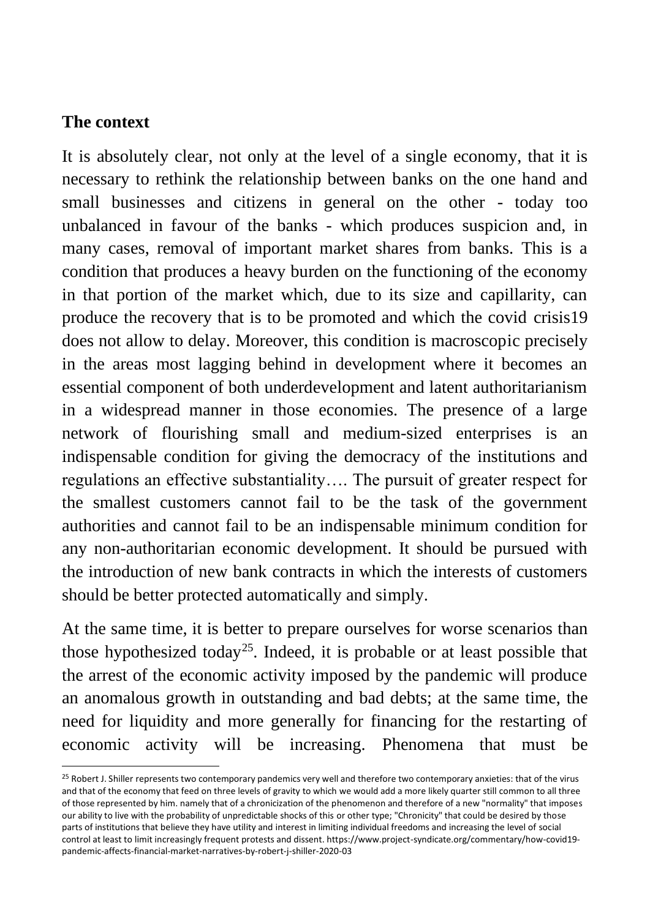## **The context**

It is absolutely clear, not only at the level of a single economy, that it is necessary to rethink the relationship between banks on the one hand and small businesses and citizens in general on the other - today too unbalanced in favour of the banks - which produces suspicion and, in many cases, removal of important market shares from banks. This is a condition that produces a heavy burden on the functioning of the economy in that portion of the market which, due to its size and capillarity, can produce the recovery that is to be promoted and which the covid crisis19 does not allow to delay. Moreover, this condition is macroscopic precisely in the areas most lagging behind in development where it becomes an essential component of both underdevelopment and latent authoritarianism in a widespread manner in those economies. The presence of a large network of flourishing small and medium-sized enterprises is an indispensable condition for giving the democracy of the institutions and regulations an effective substantiality…. The pursuit of greater respect for the smallest customers cannot fail to be the task of the government authorities and cannot fail to be an indispensable minimum condition for any non-authoritarian economic development. It should be pursued with the introduction of new bank contracts in which the interests of customers should be better protected automatically and simply.

At the same time, it is better to prepare ourselves for worse scenarios than those hypothesized today<sup>25</sup>. Indeed, it is probable or at least possible that the arrest of the economic activity imposed by the pandemic will produce an anomalous growth in outstanding and bad debts; at the same time, the need for liquidity and more generally for financing for the restarting of economic activity will be increasing. Phenomena that must be

<sup>&</sup>lt;sup>25</sup> Robert J. Shiller represents two contemporary pandemics very well and therefore two contemporary anxieties: that of the virus and that of the economy that feed on three levels of gravity to which we would add a more likely quarter still common to all three of those represented by him. namely that of a chronicization of the phenomenon and therefore of a new "normality" that imposes our ability to live with the probability of unpredictable shocks of this or other type; "Chronicity" that could be desired by those parts of institutions that believe they have utility and interest in limiting individual freedoms and increasing the level of social control at least to limit increasingly frequent protests and dissent. https://www.project-syndicate.org/commentary/how-covid19 pandemic-affects-financial-market-narratives-by-robert-j-shiller-2020-03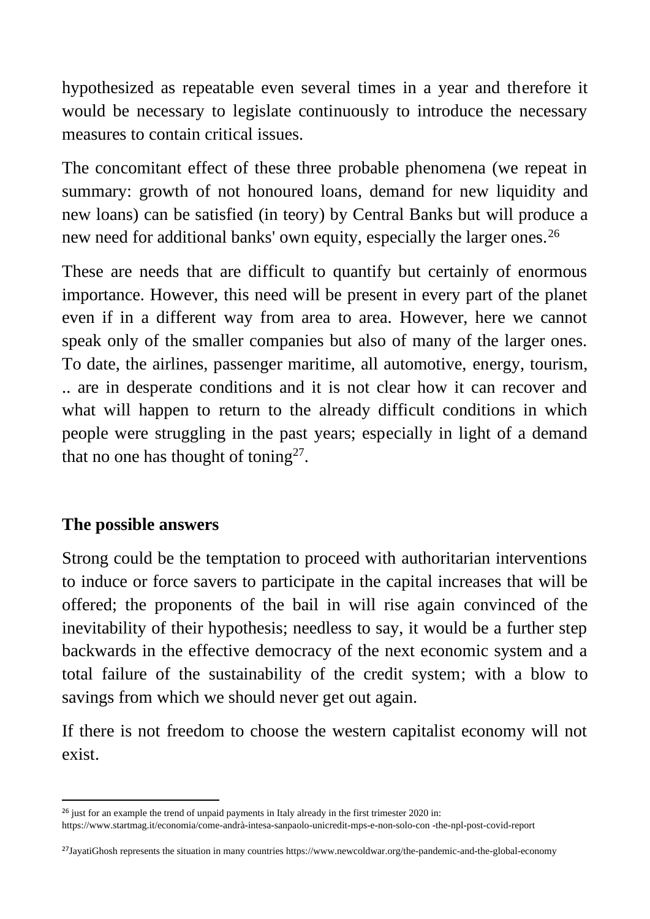hypothesized as repeatable even several times in a year and therefore it would be necessary to legislate continuously to introduce the necessary measures to contain critical issues.

The concomitant effect of these three probable phenomena (we repeat in summary: growth of not honoured loans, demand for new liquidity and new loans) can be satisfied (in teory) by Central Banks but will produce a new need for additional banks' own equity, especially the larger ones.<sup>26</sup>

These are needs that are difficult to quantify but certainly of enormous importance. However, this need will be present in every part of the planet even if in a different way from area to area. However, here we cannot speak only of the smaller companies but also of many of the larger ones. To date, the airlines, passenger maritime, all automotive, energy, tourism, .. are in desperate conditions and it is not clear how it can recover and what will happen to return to the already difficult conditions in which people were struggling in the past years; especially in light of a demand that no one has thought of toning<sup>27</sup>.

## **The possible answers**

Strong could be the temptation to proceed with authoritarian interventions to induce or force savers to participate in the capital increases that will be offered; the proponents of the bail in will rise again convinced of the inevitability of their hypothesis; needless to say, it would be a further step backwards in the effective democracy of the next economic system and a total failure of the sustainability of the credit system; with a blow to savings from which we should never get out again.

If there is not freedom to choose the western capitalist economy will not exist.

<sup>&</sup>lt;sup>26</sup> just for an example the trend of unpaid payments in Italy already in the first trimester 2020 in:

https://www.startmag.it/economia/come-andrà-intesa-sanpaolo-unicredit-mps-e-non-solo-con -the-npl-post-covid-report

 $^{27}$ JayatiGhosh represents the situation in many countries https://www.newcoldwar.org/the-pandemic-and-the-global-economy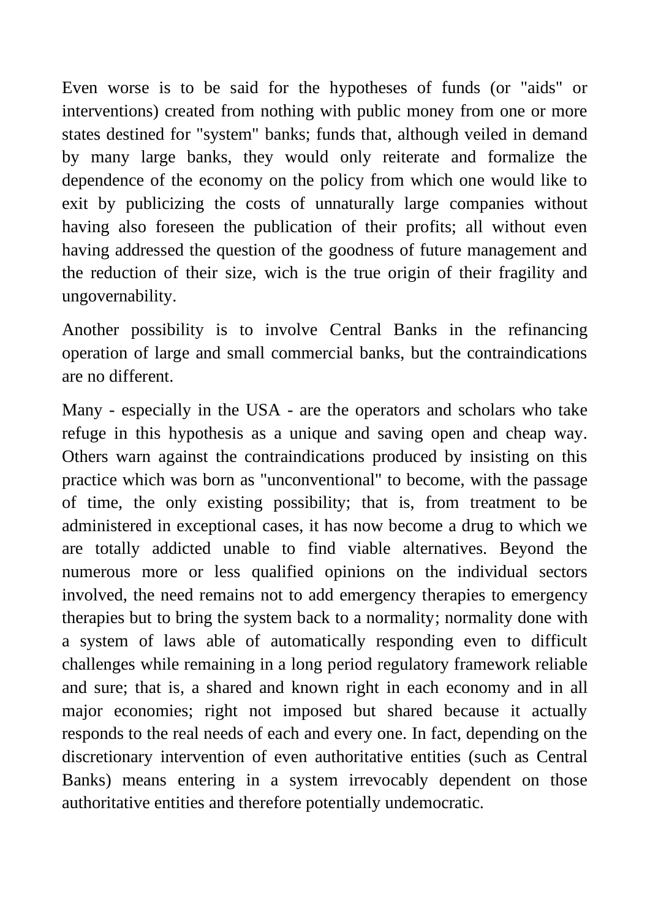Even worse is to be said for the hypotheses of funds (or "aids" or interventions) created from nothing with public money from one or more states destined for "system" banks; funds that, although veiled in demand by many large banks, they would only reiterate and formalize the dependence of the economy on the policy from which one would like to exit by publicizing the costs of unnaturally large companies without having also foreseen the publication of their profits; all without even having addressed the question of the goodness of future management and the reduction of their size, wich is the true origin of their fragility and ungovernability.

Another possibility is to involve Central Banks in the refinancing operation of large and small commercial banks, but the contraindications are no different.

Many - especially in the USA - are the operators and scholars who take refuge in this hypothesis as a unique and saving open and cheap way. Others warn against the contraindications produced by insisting on this practice which was born as "unconventional" to become, with the passage of time, the only existing possibility; that is, from treatment to be administered in exceptional cases, it has now become a drug to which we are totally addicted unable to find viable alternatives. Beyond the numerous more or less qualified opinions on the individual sectors involved, the need remains not to add emergency therapies to emergency therapies but to bring the system back to a normality; normality done with a system of laws able of automatically responding even to difficult challenges while remaining in a long period regulatory framework reliable and sure; that is, a shared and known right in each economy and in all major economies; right not imposed but shared because it actually responds to the real needs of each and every one. In fact, depending on the discretionary intervention of even authoritative entities (such as Central Banks) means entering in a system irrevocably dependent on those authoritative entities and therefore potentially undemocratic.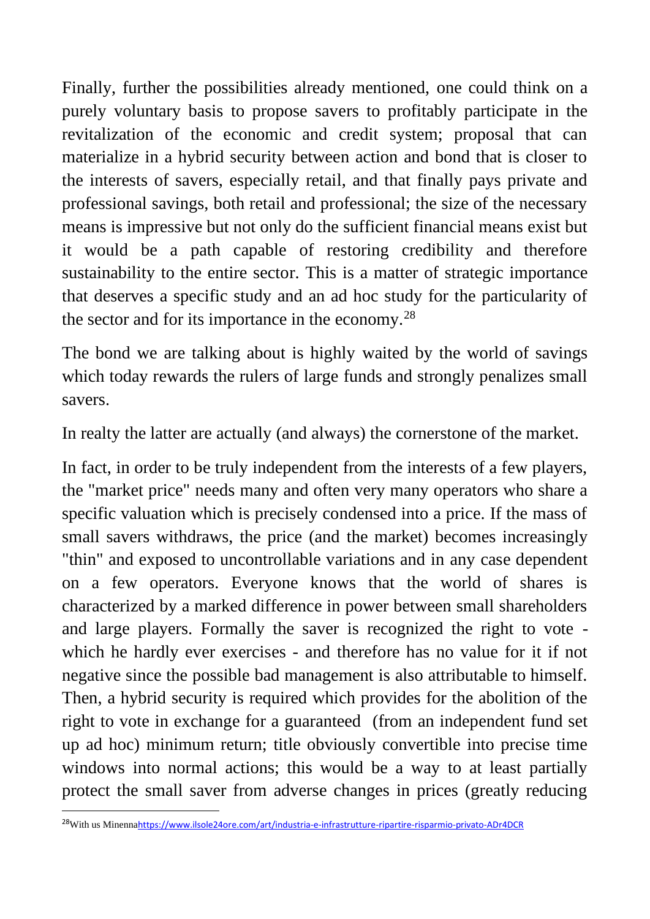Finally, further the possibilities already mentioned, one could think on a purely voluntary basis to propose savers to profitably participate in the revitalization of the economic and credit system; proposal that can materialize in a hybrid security between action and bond that is closer to the interests of savers, especially retail, and that finally pays private and professional savings, both retail and professional; the size of the necessary means is impressive but not only do the sufficient financial means exist but it would be a path capable of restoring credibility and therefore sustainability to the entire sector. This is a matter of strategic importance that deserves a specific study and an ad hoc study for the particularity of the sector and for its importance in the economy.<sup>28</sup>

The bond we are talking about is highly waited by the world of savings which today rewards the rulers of large funds and strongly penalizes small savers.

In realty the latter are actually (and always) the cornerstone of the market.

In fact, in order to be truly independent from the interests of a few players, the "market price" needs many and often very many operators who share a specific valuation which is precisely condensed into a price. If the mass of small savers withdraws, the price (and the market) becomes increasingly "thin" and exposed to uncontrollable variations and in any case dependent on a few operators. Everyone knows that the world of shares is characterized by a marked difference in power between small shareholders and large players. Formally the saver is recognized the right to vote which he hardly ever exercises - and therefore has no value for it if not negative since the possible bad management is also attributable to himself. Then, a hybrid security is required which provides for the abolition of the right to vote in exchange for a guaranteed (from an independent fund set up ad hoc) minimum return; title obviously convertible into precise time windows into normal actions; this would be a way to at least partially protect the small saver from adverse changes in prices (greatly reducing

<sup>28</sup>With us Minenna<https://www.ilsole24ore.com/art/industria-e-infrastrutture-ripartire-risparmio-privato-ADr4DCR>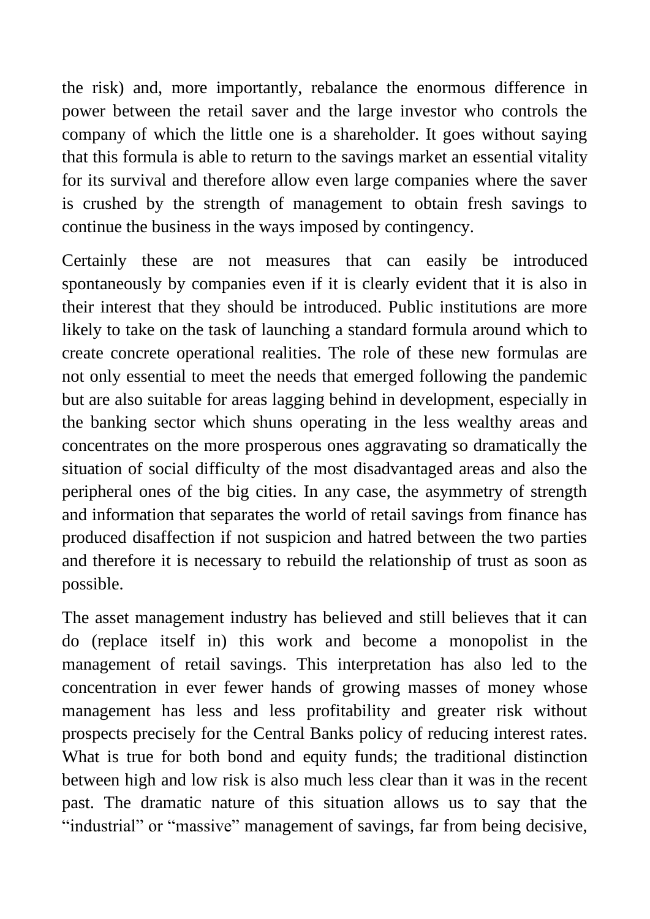the risk) and, more importantly, rebalance the enormous difference in power between the retail saver and the large investor who controls the company of which the little one is a shareholder. It goes without saying that this formula is able to return to the savings market an essential vitality for its survival and therefore allow even large companies where the saver is crushed by the strength of management to obtain fresh savings to continue the business in the ways imposed by contingency.

Certainly these are not measures that can easily be introduced spontaneously by companies even if it is clearly evident that it is also in their interest that they should be introduced. Public institutions are more likely to take on the task of launching a standard formula around which to create concrete operational realities. The role of these new formulas are not only essential to meet the needs that emerged following the pandemic but are also suitable for areas lagging behind in development, especially in the banking sector which shuns operating in the less wealthy areas and concentrates on the more prosperous ones aggravating so dramatically the situation of social difficulty of the most disadvantaged areas and also the peripheral ones of the big cities. In any case, the asymmetry of strength and information that separates the world of retail savings from finance has produced disaffection if not suspicion and hatred between the two parties and therefore it is necessary to rebuild the relationship of trust as soon as possible.

The asset management industry has believed and still believes that it can do (replace itself in) this work and become a monopolist in the management of retail savings. This interpretation has also led to the concentration in ever fewer hands of growing masses of money whose management has less and less profitability and greater risk without prospects precisely for the Central Banks policy of reducing interest rates. What is true for both bond and equity funds; the traditional distinction between high and low risk is also much less clear than it was in the recent past. The dramatic nature of this situation allows us to say that the "industrial" or "massive" management of savings, far from being decisive,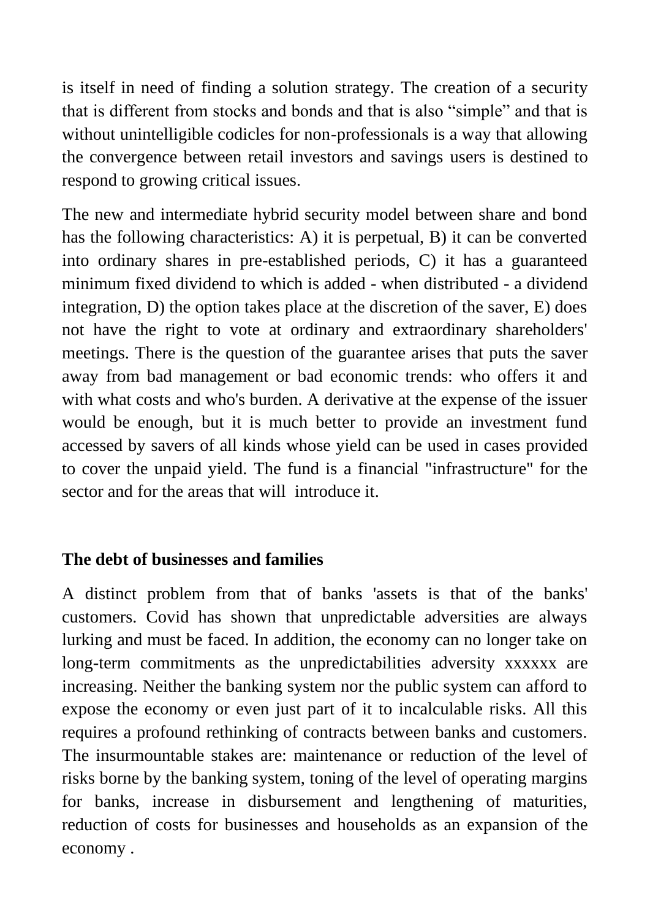is itself in need of finding a solution strategy. The creation of a security that is different from stocks and bonds and that is also "simple" and that is without unintelligible codicles for non-professionals is a way that allowing the convergence between retail investors and savings users is destined to respond to growing critical issues.

The new and intermediate hybrid security model between share and bond has the following characteristics: A) it is perpetual, B) it can be converted into ordinary shares in pre-established periods, C) it has a guaranteed minimum fixed dividend to which is added - when distributed - a dividend integration, D) the option takes place at the discretion of the saver, E) does not have the right to vote at ordinary and extraordinary shareholders' meetings. There is the question of the guarantee arises that puts the saver away from bad management or bad economic trends: who offers it and with what costs and who's burden. A derivative at the expense of the issuer would be enough, but it is much better to provide an investment fund accessed by savers of all kinds whose yield can be used in cases provided to cover the unpaid yield. The fund is a financial "infrastructure" for the sector and for the areas that will introduce it.

## **The debt of businesses and families**

A distinct problem from that of banks 'assets is that of the banks' customers. Covid has shown that unpredictable adversities are always lurking and must be faced. In addition, the economy can no longer take on long-term commitments as the unpredictabilities adversity xxxxxx are increasing. Neither the banking system nor the public system can afford to expose the economy or even just part of it to incalculable risks. All this requires a profound rethinking of contracts between banks and customers. The insurmountable stakes are: maintenance or reduction of the level of risks borne by the banking system, toning of the level of operating margins for banks, increase in disbursement and lengthening of maturities, reduction of costs for businesses and households as an expansion of the economy .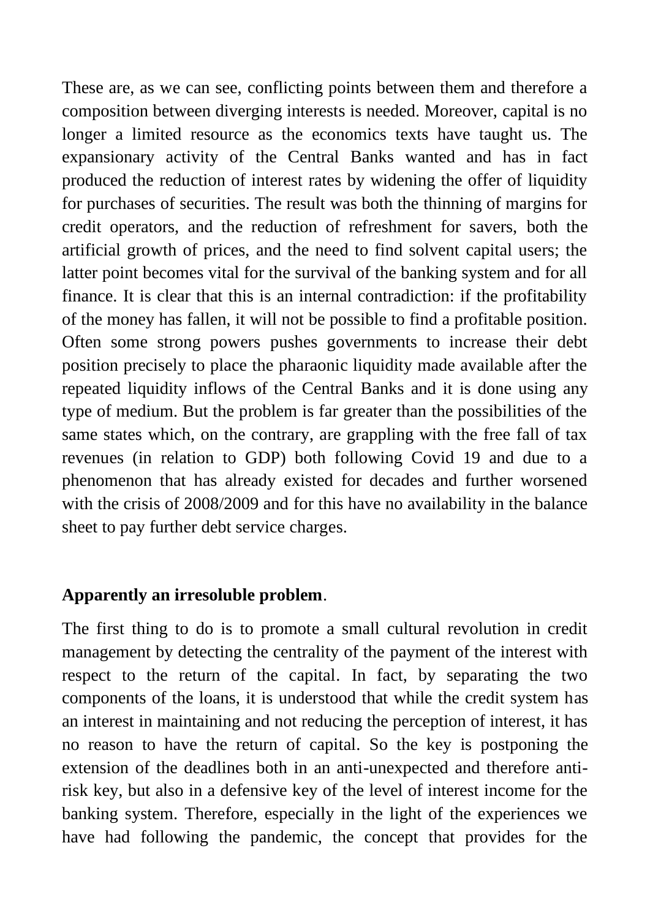These are, as we can see, conflicting points between them and therefore a composition between diverging interests is needed. Moreover, capital is no longer a limited resource as the economics texts have taught us. The expansionary activity of the Central Banks wanted and has in fact produced the reduction of interest rates by widening the offer of liquidity for purchases of securities. The result was both the thinning of margins for credit operators, and the reduction of refreshment for savers, both the artificial growth of prices, and the need to find solvent capital users; the latter point becomes vital for the survival of the banking system and for all finance. It is clear that this is an internal contradiction: if the profitability of the money has fallen, it will not be possible to find a profitable position. Often some strong powers pushes governments to increase their debt position precisely to place the pharaonic liquidity made available after the repeated liquidity inflows of the Central Banks and it is done using any type of medium. But the problem is far greater than the possibilities of the same states which, on the contrary, are grappling with the free fall of tax revenues (in relation to GDP) both following Covid 19 and due to a phenomenon that has already existed for decades and further worsened with the crisis of 2008/2009 and for this have no availability in the balance sheet to pay further debt service charges.

## **Apparently an irresoluble problem**.

The first thing to do is to promote a small cultural revolution in credit management by detecting the centrality of the payment of the interest with respect to the return of the capital. In fact, by separating the two components of the loans, it is understood that while the credit system has an interest in maintaining and not reducing the perception of interest, it has no reason to have the return of capital. So the key is postponing the extension of the deadlines both in an anti-unexpected and therefore antirisk key, but also in a defensive key of the level of interest income for the banking system. Therefore, especially in the light of the experiences we have had following the pandemic, the concept that provides for the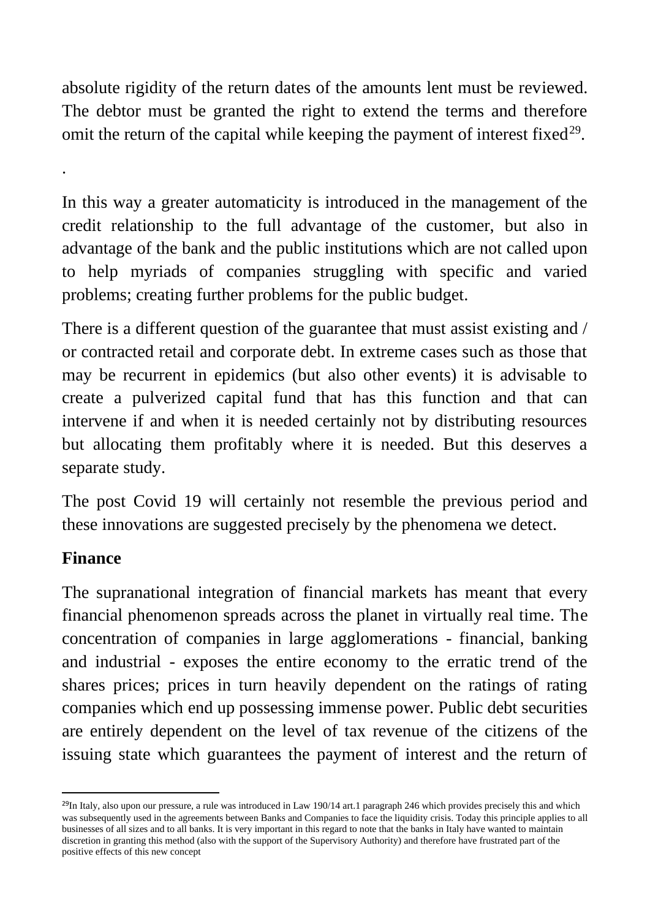absolute rigidity of the return dates of the amounts lent must be reviewed. The debtor must be granted the right to extend the terms and therefore omit the return of the capital while keeping the payment of interest fixed<sup>29</sup>.

In this way a greater automaticity is introduced in the management of the credit relationship to the full advantage of the customer, but also in advantage of the bank and the public institutions which are not called upon to help myriads of companies struggling with specific and varied problems; creating further problems for the public budget.

There is a different question of the guarantee that must assist existing and / or contracted retail and corporate debt. In extreme cases such as those that may be recurrent in epidemics (but also other events) it is advisable to create a pulverized capital fund that has this function and that can intervene if and when it is needed certainly not by distributing resources but allocating them profitably where it is needed. But this deserves a separate study.

The post Covid 19 will certainly not resemble the previous period and these innovations are suggested precisely by the phenomena we detect.

## **Finance**

.

The supranational integration of financial markets has meant that every financial phenomenon spreads across the planet in virtually real time. The concentration of companies in large agglomerations - financial, banking and industrial - exposes the entire economy to the erratic trend of the shares prices; prices in turn heavily dependent on the ratings of rating companies which end up possessing immense power. Public debt securities are entirely dependent on the level of tax revenue of the citizens of the issuing state which guarantees the payment of interest and the return of

 $^{29}$ In Italy, also upon our pressure, a rule was introduced in Law 190/14 art.1 paragraph 246 which provides precisely this and which was subsequently used in the agreements between Banks and Companies to face the liquidity crisis. Today this principle applies to all businesses of all sizes and to all banks. It is very important in this regard to note that the banks in Italy have wanted to maintain discretion in granting this method (also with the support of the Supervisory Authority) and therefore have frustrated part of the positive effects of this new concept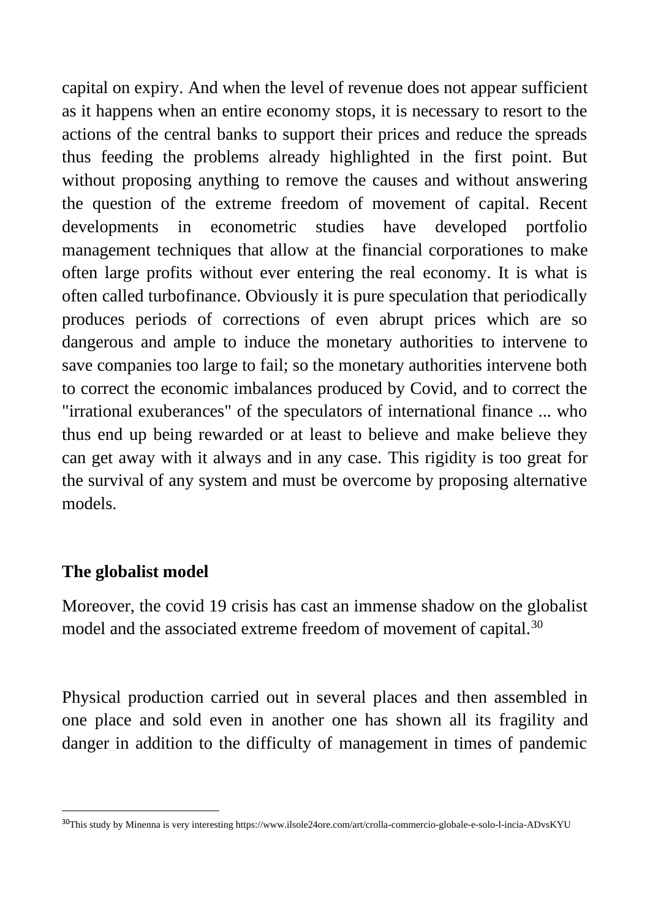capital on expiry. And when the level of revenue does not appear sufficient as it happens when an entire economy stops, it is necessary to resort to the actions of the central banks to support their prices and reduce the spreads thus feeding the problems already highlighted in the first point. But without proposing anything to remove the causes and without answering the question of the extreme freedom of movement of capital. Recent developments in econometric studies have developed portfolio management techniques that allow at the financial corporationes to make often large profits without ever entering the real economy. It is what is often called turbofinance. Obviously it is pure speculation that periodically produces periods of corrections of even abrupt prices which are so dangerous and ample to induce the monetary authorities to intervene to save companies too large to fail; so the monetary authorities intervene both to correct the economic imbalances produced by Covid, and to correct the "irrational exuberances" of the speculators of international finance ... who thus end up being rewarded or at least to believe and make believe they can get away with it always and in any case. This rigidity is too great for the survival of any system and must be overcome by proposing alternative models.

## **The globalist model**

Moreover, the covid 19 crisis has cast an immense shadow on the globalist model and the associated extreme freedom of movement of capital.<sup>30</sup>

Physical production carried out in several places and then assembled in one place and sold even in another one has shown all its fragility and danger in addition to the difficulty of management in times of pandemic

<sup>30</sup>This study by Minenna is very interesting https://www.ilsole24ore.com/art/crolla-commercio-globale-e-solo-l-incia-ADvsKYU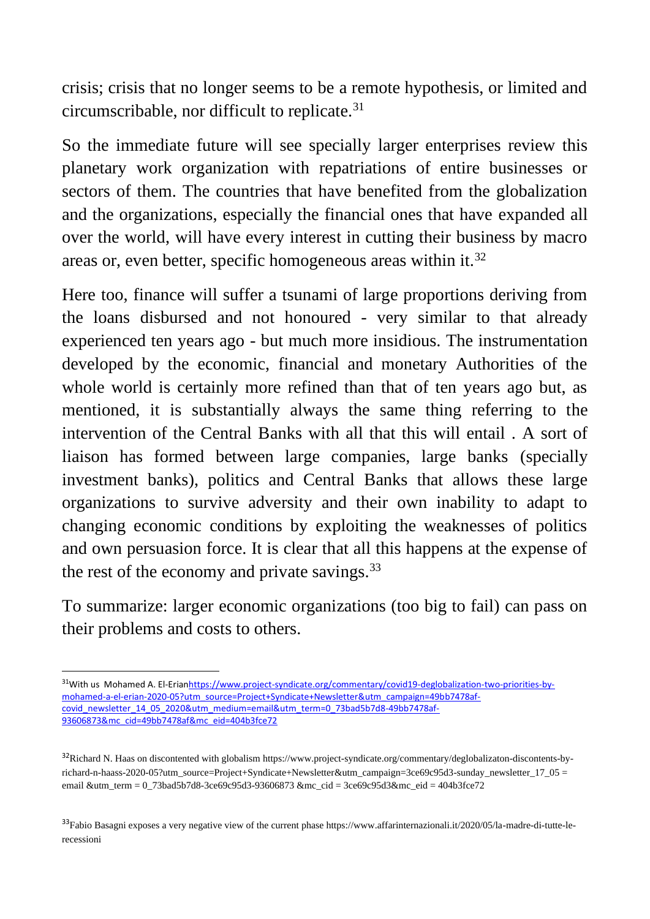crisis; crisis that no longer seems to be a remote hypothesis, or limited and circumscribable, nor difficult to replicate.<sup>31</sup>

So the immediate future will see specially larger enterprises review this planetary work organization with repatriations of entire businesses or sectors of them. The countries that have benefited from the globalization and the organizations, especially the financial ones that have expanded all over the world, will have every interest in cutting their business by macro areas or, even better, specific homogeneous areas within it.<sup>32</sup>

Here too, finance will suffer a tsunami of large proportions deriving from the loans disbursed and not honoured - very similar to that already experienced ten years ago - but much more insidious. The instrumentation developed by the economic, financial and monetary Authorities of the whole world is certainly more refined than that of ten years ago but, as mentioned, it is substantially always the same thing referring to the intervention of the Central Banks with all that this will entail . A sort of liaison has formed between large companies, large banks (specially investment banks), politics and Central Banks that allows these large organizations to survive adversity and their own inability to adapt to changing economic conditions by exploiting the weaknesses of politics and own persuasion force. It is clear that all this happens at the expense of the rest of the economy and private savings.<sup>33</sup>

To summarize: larger economic organizations (too big to fail) can pass on their problems and costs to others.

 $33$ Fabio Basagni exposes a very negative view of the current phase https://www.affarinternazionali.it/2020/05/la-madre-di-tutte-lerecessioni

<sup>31</sup>With us Mohamed A. El-Eria[nhttps://www.project-syndicate.org/commentary/covid19-deglobalization-two-priorities-by](https://www.project-syndicate.org/commentary/covid19-deglobalization-two-priorities-by-mohamed-a-el-erian-2020-05?utm_source=Project+Syndicate+Newsletter&utm_campaign=49bb7478af-covid_newsletter_14_05_2020&utm_medium=email&utm_term=0_73bad5b7d8-49bb7478af-93606873&mc_cid=49bb7478af&mc_eid=404b3fce72)[mohamed-a-el-erian-2020-05?utm\\_source=Project+Syndicate+Newsletter&utm\\_campaign=49bb7478af](https://www.project-syndicate.org/commentary/covid19-deglobalization-two-priorities-by-mohamed-a-el-erian-2020-05?utm_source=Project+Syndicate+Newsletter&utm_campaign=49bb7478af-covid_newsletter_14_05_2020&utm_medium=email&utm_term=0_73bad5b7d8-49bb7478af-93606873&mc_cid=49bb7478af&mc_eid=404b3fce72)[covid\\_newsletter\\_14\\_05\\_2020&utm\\_medium=email&utm\\_term=0\\_73bad5b7d8-49bb7478af-](https://www.project-syndicate.org/commentary/covid19-deglobalization-two-priorities-by-mohamed-a-el-erian-2020-05?utm_source=Project+Syndicate+Newsletter&utm_campaign=49bb7478af-covid_newsletter_14_05_2020&utm_medium=email&utm_term=0_73bad5b7d8-49bb7478af-93606873&mc_cid=49bb7478af&mc_eid=404b3fce72)[93606873&mc\\_cid=49bb7478af&mc\\_eid=404b3fce72](https://www.project-syndicate.org/commentary/covid19-deglobalization-two-priorities-by-mohamed-a-el-erian-2020-05?utm_source=Project+Syndicate+Newsletter&utm_campaign=49bb7478af-covid_newsletter_14_05_2020&utm_medium=email&utm_term=0_73bad5b7d8-49bb7478af-93606873&mc_cid=49bb7478af&mc_eid=404b3fce72)

<sup>&</sup>lt;sup>32</sup>Richard N. Haas on discontented with globalism https://www.project-syndicate.org/commentary/deglobalizaton-discontents-byrichard-n-haass-2020-05?utm\_source=Project+Syndicate+Newsletter&utm\_campaign=3ce69c95d3-sunday\_newsletter\_17\_05 = email &utm\_term = 0\_73bad5b7d8-3ce69c95d3-93606873 &mc\_cid = 3ce69c95d3&mc\_eid = 404b3fce72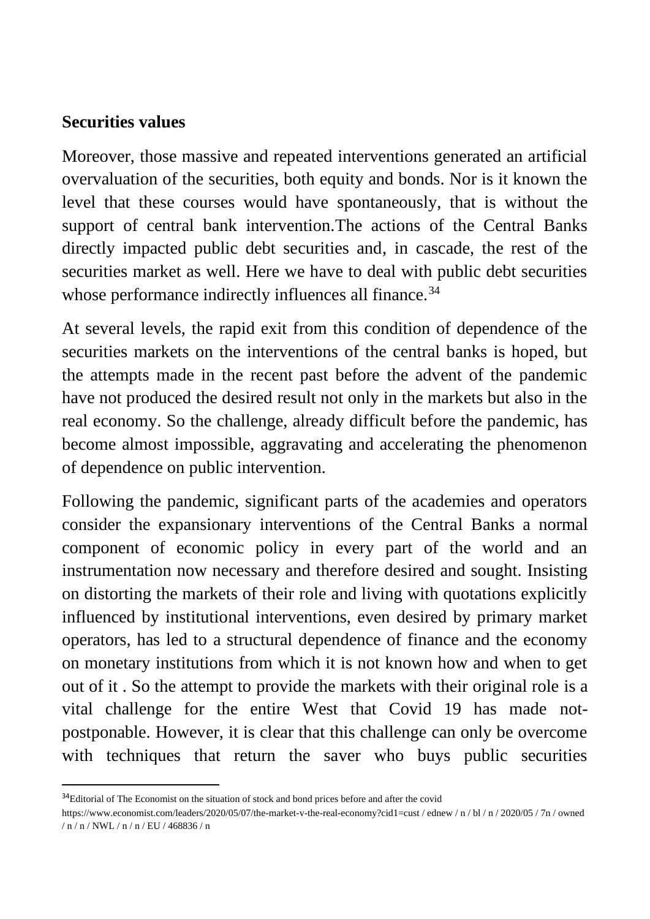### **Securities values**

Moreover, those massive and repeated interventions generated an artificial overvaluation of the securities, both equity and bonds. Nor is it known the level that these courses would have spontaneously, that is without the support of central bank intervention.The actions of the Central Banks directly impacted public debt securities and, in cascade, the rest of the securities market as well. Here we have to deal with public debt securities whose performance indirectly influences all finance.<sup>34</sup>

At several levels, the rapid exit from this condition of dependence of the securities markets on the interventions of the central banks is hoped, but the attempts made in the recent past before the advent of the pandemic have not produced the desired result not only in the markets but also in the real economy. So the challenge, already difficult before the pandemic, has become almost impossible, aggravating and accelerating the phenomenon of dependence on public intervention.

Following the pandemic, significant parts of the academies and operators consider the expansionary interventions of the Central Banks a normal component of economic policy in every part of the world and an instrumentation now necessary and therefore desired and sought. Insisting on distorting the markets of their role and living with quotations explicitly influenced by institutional interventions, even desired by primary market operators, has led to a structural dependence of finance and the economy on monetary institutions from which it is not known how and when to get out of it . So the attempt to provide the markets with their original role is a vital challenge for the entire West that Covid 19 has made notpostponable. However, it is clear that this challenge can only be overcome with techniques that return the saver who buys public securities

<sup>&</sup>lt;sup>34</sup>Editorial of The Economist on the situation of stock and bond prices before and after the covid

https://www.economist.com/leaders/2020/05/07/the-market-v-the-real-economy?cid1=cust / ednew / n / bl / n / 2020/05 / 7n / owned / n / n / NWL / n / n / EU / 468836 / n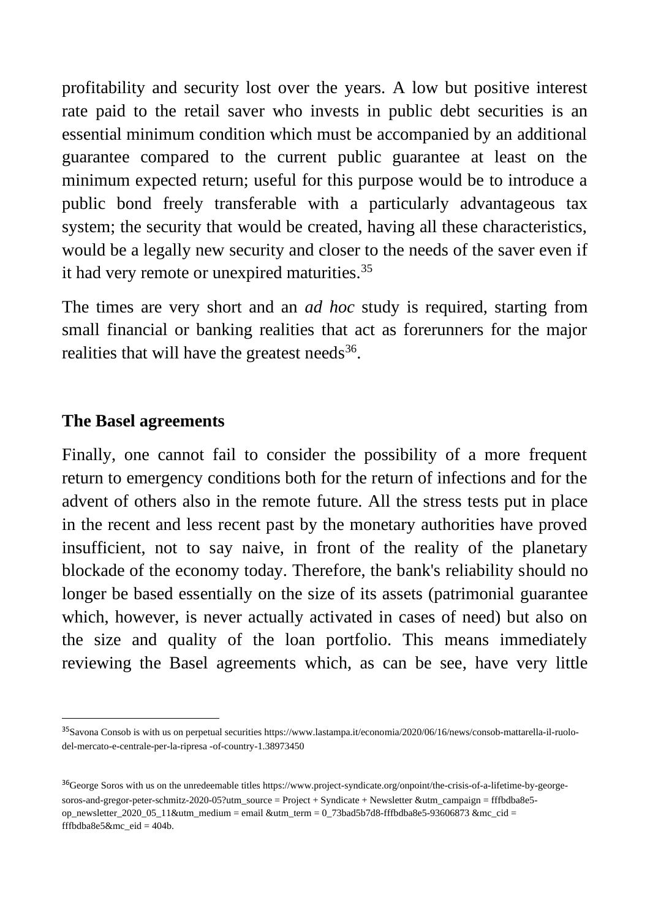profitability and security lost over the years. A low but positive interest rate paid to the retail saver who invests in public debt securities is an essential minimum condition which must be accompanied by an additional guarantee compared to the current public guarantee at least on the minimum expected return; useful for this purpose would be to introduce a public bond freely transferable with a particularly advantageous tax system; the security that would be created, having all these characteristics, would be a legally new security and closer to the needs of the saver even if it had very remote or unexpired maturities.<sup>35</sup>

The times are very short and an *ad hoc* study is required, starting from small financial or banking realities that act as forerunners for the major realities that will have the greatest needs<sup>36</sup>.

#### **The Basel agreements**

Finally, one cannot fail to consider the possibility of a more frequent return to emergency conditions both for the return of infections and for the advent of others also in the remote future. All the stress tests put in place in the recent and less recent past by the monetary authorities have proved insufficient, not to say naive, in front of the reality of the planetary blockade of the economy today. Therefore, the bank's reliability should no longer be based essentially on the size of its assets (patrimonial guarantee which, however, is never actually activated in cases of need) but also on the size and quality of the loan portfolio. This means immediately reviewing the Basel agreements which, as can be see, have very little

<sup>35</sup>Savona Consob is with us on perpetual securities https://www.lastampa.it/economia/2020/06/16/news/consob-mattarella-il-ruolodel-mercato-e-centrale-per-la-ripresa -of-country-1.38973450

<sup>&</sup>lt;sup>36</sup>George Soros with us on the unredeemable titles https://www.project-syndicate.org/onpoint/the-crisis-of-a-lifetime-by-georgesoros-and-gregor-peter-schmitz-2020-05?utm\_source = Project + Syndicate + Newsletter &utm\_campaign = fffbdba8e5 op\_newsletter\_2020\_05\_11&utm\_medium = email &utm\_term = 0\_73bad5b7d8-fffbdba8e5-93606873 &mc\_cid = fffbdba8e5&mc\_eid =  $404b$ .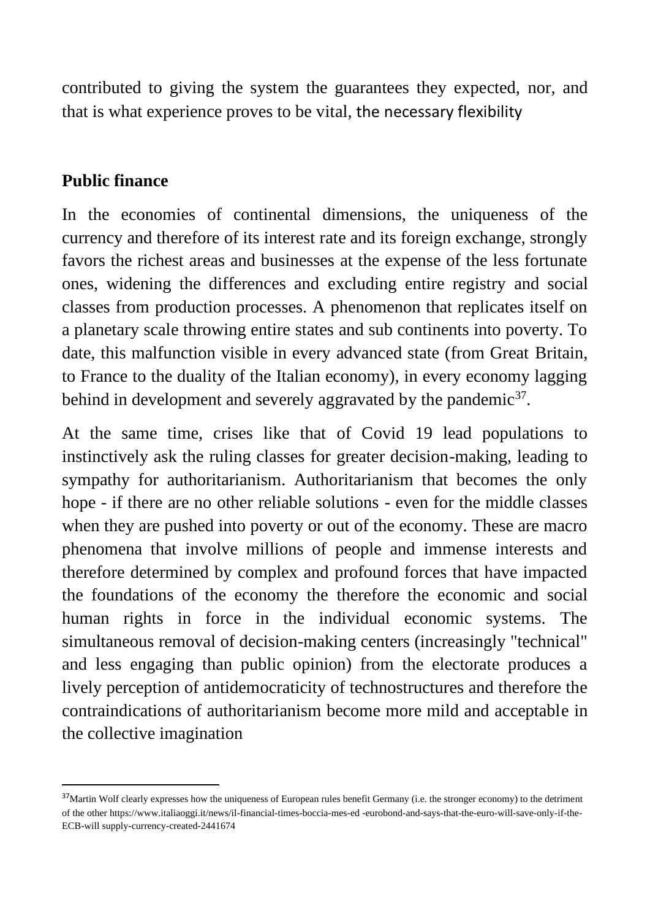contributed to giving the system the guarantees they expected, nor, and that is what experience proves to be vital, the necessary flexibility

## **Public finance**

In the economies of continental dimensions, the uniqueness of the currency and therefore of its interest rate and its foreign exchange, strongly favors the richest areas and businesses at the expense of the less fortunate ones, widening the differences and excluding entire registry and social classes from production processes. A phenomenon that replicates itself on a planetary scale throwing entire states and sub continents into poverty. To date, this malfunction visible in every advanced state (from Great Britain, to France to the duality of the Italian economy), in every economy lagging behind in development and severely aggravated by the pandemic<sup>37</sup>.

At the same time, crises like that of Covid 19 lead populations to instinctively ask the ruling classes for greater decision-making, leading to sympathy for authoritarianism. Authoritarianism that becomes the only hope - if there are no other reliable solutions - even for the middle classes when they are pushed into poverty or out of the economy. These are macro phenomena that involve millions of people and immense interests and therefore determined by complex and profound forces that have impacted the foundations of the economy the therefore the economic and social human rights in force in the individual economic systems. The simultaneous removal of decision-making centers (increasingly "technical" and less engaging than public opinion) from the electorate produces a lively perception of antidemocraticity of technostructures and therefore the contraindications of authoritarianism become more mild and acceptable in the collective imagination

<sup>&</sup>lt;sup>37</sup>Martin Wolf clearly expresses how the uniqueness of European rules benefit Germany (i.e. the stronger economy) to the detriment of the other https://www.italiaoggi.it/news/il-financial-times-boccia-mes-ed -eurobond-and-says-that-the-euro-will-save-only-if-the-ECB-will supply-currency-created-2441674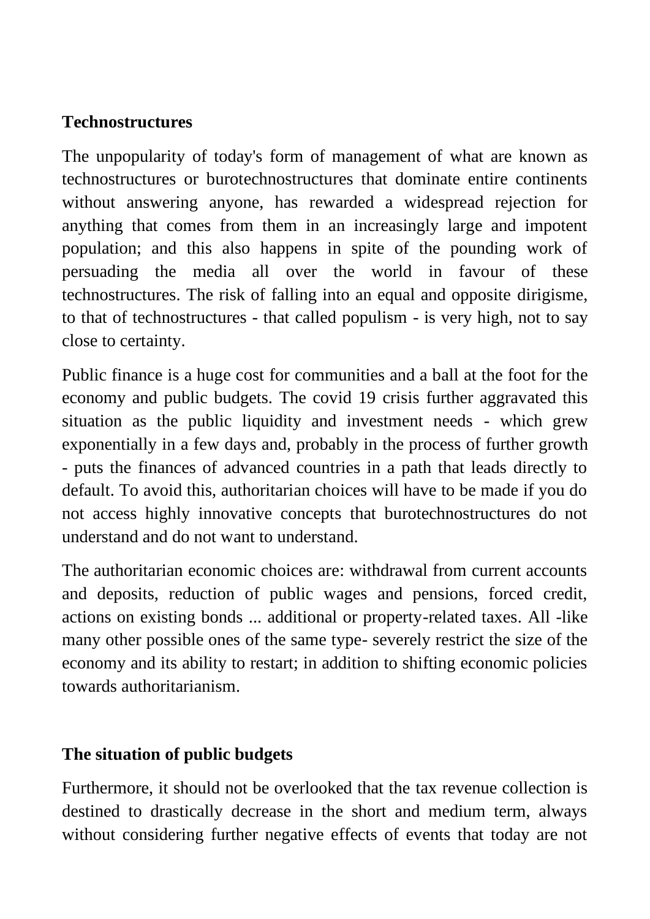## **Technostructures**

The unpopularity of today's form of management of what are known as technostructures or burotechnostructures that dominate entire continents without answering anyone, has rewarded a widespread rejection for anything that comes from them in an increasingly large and impotent population; and this also happens in spite of the pounding work of persuading the media all over the world in favour of these technostructures. The risk of falling into an equal and opposite dirigisme, to that of technostructures - that called populism - is very high, not to say close to certainty.

Public finance is a huge cost for communities and a ball at the foot for the economy and public budgets. The covid 19 crisis further aggravated this situation as the public liquidity and investment needs - which grew exponentially in a few days and, probably in the process of further growth - puts the finances of advanced countries in a path that leads directly to default. To avoid this, authoritarian choices will have to be made if you do not access highly innovative concepts that burotechnostructures do not understand and do not want to understand.

The authoritarian economic choices are: withdrawal from current accounts and deposits, reduction of public wages and pensions, forced credit, actions on existing bonds ... additional or property-related taxes. All -like many other possible ones of the same type- severely restrict the size of the economy and its ability to restart; in addition to shifting economic policies towards authoritarianism.

## **The situation of public budgets**

Furthermore, it should not be overlooked that the tax revenue collection is destined to drastically decrease in the short and medium term, always without considering further negative effects of events that today are not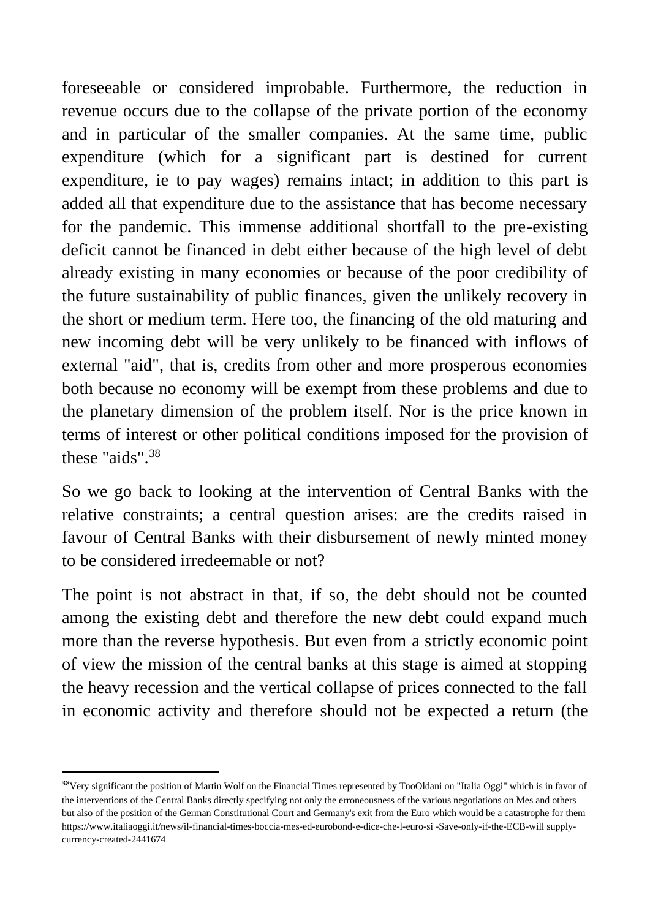foreseeable or considered improbable. Furthermore, the reduction in revenue occurs due to the collapse of the private portion of the economy and in particular of the smaller companies. At the same time, public expenditure (which for a significant part is destined for current expenditure, ie to pay wages) remains intact; in addition to this part is added all that expenditure due to the assistance that has become necessary for the pandemic. This immense additional shortfall to the pre-existing deficit cannot be financed in debt either because of the high level of debt already existing in many economies or because of the poor credibility of the future sustainability of public finances, given the unlikely recovery in the short or medium term. Here too, the financing of the old maturing and new incoming debt will be very unlikely to be financed with inflows of external "aid", that is, credits from other and more prosperous economies both because no economy will be exempt from these problems and due to the planetary dimension of the problem itself. Nor is the price known in terms of interest or other political conditions imposed for the provision of these "aids".<sup>38</sup>

So we go back to looking at the intervention of Central Banks with the relative constraints; a central question arises: are the credits raised in favour of Central Banks with their disbursement of newly minted money to be considered irredeemable or not?

The point is not abstract in that, if so, the debt should not be counted among the existing debt and therefore the new debt could expand much more than the reverse hypothesis. But even from a strictly economic point of view the mission of the central banks at this stage is aimed at stopping the heavy recession and the vertical collapse of prices connected to the fall in economic activity and therefore should not be expected a return (the

<sup>&</sup>lt;sup>38</sup>Very significant the position of Martin Wolf on the Financial Times represented by TnoOldani on "Italia Oggi" which is in favor of the interventions of the Central Banks directly specifying not only the erroneousness of the various negotiations on Mes and others but also of the position of the German Constitutional Court and Germany's exit from the Euro which would be a catastrophe for them https://www.italiaoggi.it/news/il-financial-times-boccia-mes-ed-eurobond-e-dice-che-l-euro-si -Save-only-if-the-ECB-will supplycurrency-created-2441674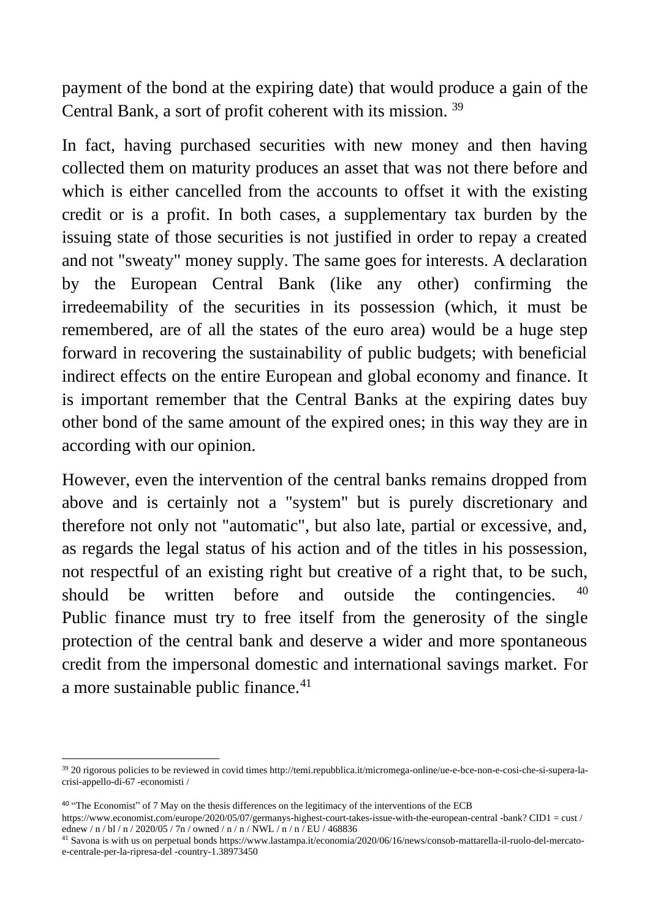payment of the bond at the expiring date) that would produce a gain of the Central Bank, a sort of profit coherent with its mission. <sup>39</sup>

In fact, having purchased securities with new money and then having collected them on maturity produces an asset that was not there before and which is either cancelled from the accounts to offset it with the existing credit or is a profit. In both cases, a supplementary tax burden by the issuing state of those securities is not justified in order to repay a created and not "sweaty" money supply. The same goes for interests. A declaration by the European Central Bank (like any other) confirming the irredeemability of the securities in its possession (which, it must be remembered, are of all the states of the euro area) would be a huge step forward in recovering the sustainability of public budgets; with beneficial indirect effects on the entire European and global economy and finance. It is important remember that the Central Banks at the expiring dates buy other bond of the same amount of the expired ones; in this way they are in according with our opinion.

However, even the intervention of the central banks remains dropped from above and is certainly not a "system" but is purely discretionary and therefore not only not "automatic", but also late, partial or excessive, and, as regards the legal status of his action and of the titles in his possession, not respectful of an existing right but creative of a right that, to be such, should be written before and outside the contingencies.  $\overline{a}$ Public finance must try to free itself from the generosity of the single protection of the central bank and deserve a wider and more spontaneous credit from the impersonal domestic and international savings market. For a more sustainable public finance.<sup>41</sup>

<sup>39</sup> 20 rigorous policies to be reviewed in covid times http://temi.repubblica.it/micromega-online/ue-e-bce-non-e-cosi-che-si-supera-lacrisi-appello-di-67 -economisti /

<sup>40</sup> "The Economist" of 7 May on the thesis differences on the legitimacy of the interventions of the ECB

https://www.economist.com/europe/2020/05/07/germanys-highest-court-takes-issue-with-the-european-central -bank? CID1 = cust / ednew / n / bl / n / 2020/05 / 7n / owned / n / n / NWL / n / n / EU / 468836

<sup>41</sup> Savona is with us on perpetual bonds https://www.lastampa.it/economia/2020/06/16/news/consob-mattarella-il-ruolo-del-mercatoe-centrale-per-la-ripresa-del -country-1.38973450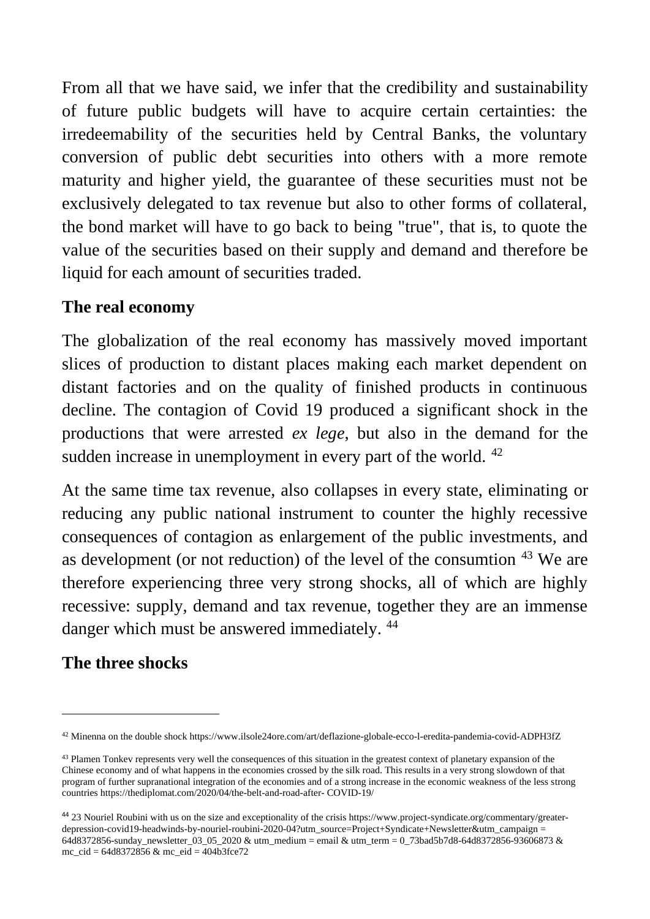From all that we have said, we infer that the credibility and sustainability of future public budgets will have to acquire certain certainties: the irredeemability of the securities held by Central Banks, the voluntary conversion of public debt securities into others with a more remote maturity and higher yield, the guarantee of these securities must not be exclusively delegated to tax revenue but also to other forms of collateral, the bond market will have to go back to being "true", that is, to quote the value of the securities based on their supply and demand and therefore be liquid for each amount of securities traded.

## **The real economy**

The globalization of the real economy has massively moved important slices of production to distant places making each market dependent on distant factories and on the quality of finished products in continuous decline. The contagion of Covid 19 produced a significant shock in the productions that were arrested *ex lege*, but also in the demand for the sudden increase in unemployment in every part of the world. <sup>42</sup>

At the same time tax revenue, also collapses in every state, eliminating or reducing any public national instrument to counter the highly recessive consequences of contagion as enlargement of the public investments, and as development (or not reduction) of the level of the consumtion <sup>43</sup> We are therefore experiencing three very strong shocks, all of which are highly recessive: supply, demand and tax revenue, together they are an immense danger which must be answered immediately.  $44$ 

# **The three shocks**

<sup>42</sup> Minenna on the double shock https://www.ilsole24ore.com/art/deflazione-globale-ecco-l-eredita-pandemia-covid-ADPH3fZ

<sup>&</sup>lt;sup>43</sup> Plamen Tonkev represents very well the consequences of this situation in the greatest context of planetary expansion of the Chinese economy and of what happens in the economies crossed by the silk road. This results in a very strong slowdown of that program of further supranational integration of the economies and of a strong increase in the economic weakness of the less strong countries https://thediplomat.com/2020/04/the-belt-and-road-after- COVID-19/

<sup>44</sup> 23 Nouriel Roubini with us on the size and exceptionality of the crisis https://www.project-syndicate.org/commentary/greaterdepression-covid19-headwinds-by-nouriel-roubini-2020-04?utm\_source=Project+Syndicate+Newsletter&utm\_campaign = 64d8372856-sunday\_newsletter\_03\_05\_2020 & utm\_medium = email & utm\_term = 0\_73bad5b7d8-64d8372856-93606873 & mc\_cid = 64d8372856 & mc\_eid = 404b3fce72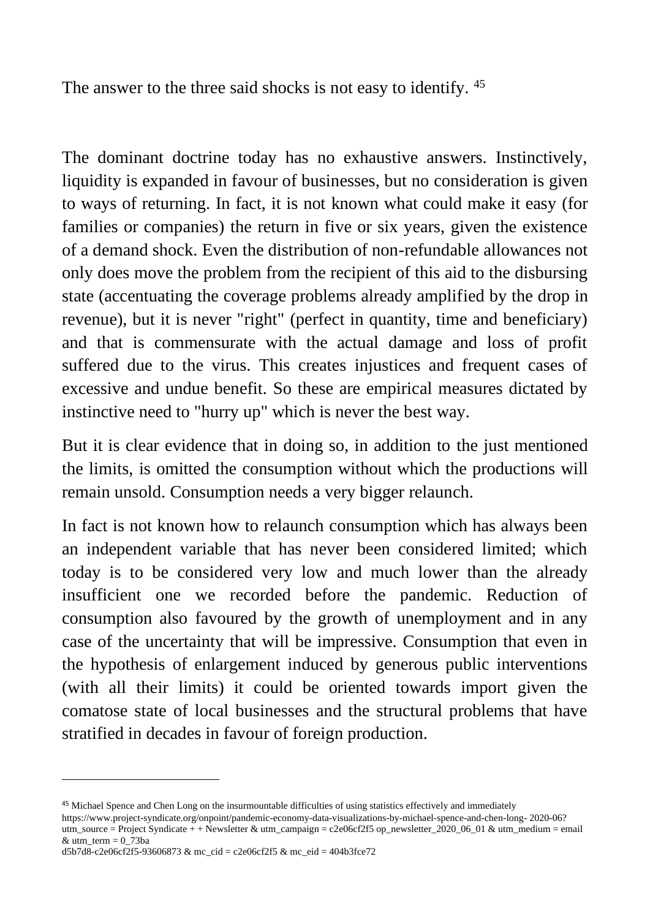The answer to the three said shocks is not easy to identify. <sup>45</sup>

The dominant doctrine today has no exhaustive answers. Instinctively, liquidity is expanded in favour of businesses, but no consideration is given to ways of returning. In fact, it is not known what could make it easy (for families or companies) the return in five or six years, given the existence of a demand shock. Even the distribution of non-refundable allowances not only does move the problem from the recipient of this aid to the disbursing state (accentuating the coverage problems already amplified by the drop in revenue), but it is never "right" (perfect in quantity, time and beneficiary) and that is commensurate with the actual damage and loss of profit suffered due to the virus. This creates injustices and frequent cases of excessive and undue benefit. So these are empirical measures dictated by instinctive need to "hurry up" which is never the best way.

But it is clear evidence that in doing so, in addition to the just mentioned the limits, is omitted the consumption without which the productions will remain unsold. Consumption needs a very bigger relaunch.

In fact is not known how to relaunch consumption which has always been an independent variable that has never been considered limited; which today is to be considered very low and much lower than the already insufficient one we recorded before the pandemic. Reduction of consumption also favoured by the growth of unemployment and in any case of the uncertainty that will be impressive. Consumption that even in the hypothesis of enlargement induced by generous public interventions (with all their limits) it could be oriented towards import given the comatose state of local businesses and the structural problems that have stratified in decades in favour of foreign production.

<sup>45</sup> Michael Spence and Chen Long on the insurmountable difficulties of using statistics effectively and immediately

https://www.project-syndicate.org/onpoint/pandemic-economy-data-visualizations-by-michael-spence-and-chen-long- 2020-06? utm\_source = Project Syndicate + + Newsletter & utm\_campaign = c2e06cf2f5 op\_newsletter\_2020\_06\_01 & utm\_medium = email & utm\_term =  $0\overline{7}3ba$ 

d5b7d8-c2e06cf2f5-93606873 & mc\_cid = c2e06cf2f5 & mc\_eid = 404b3fce72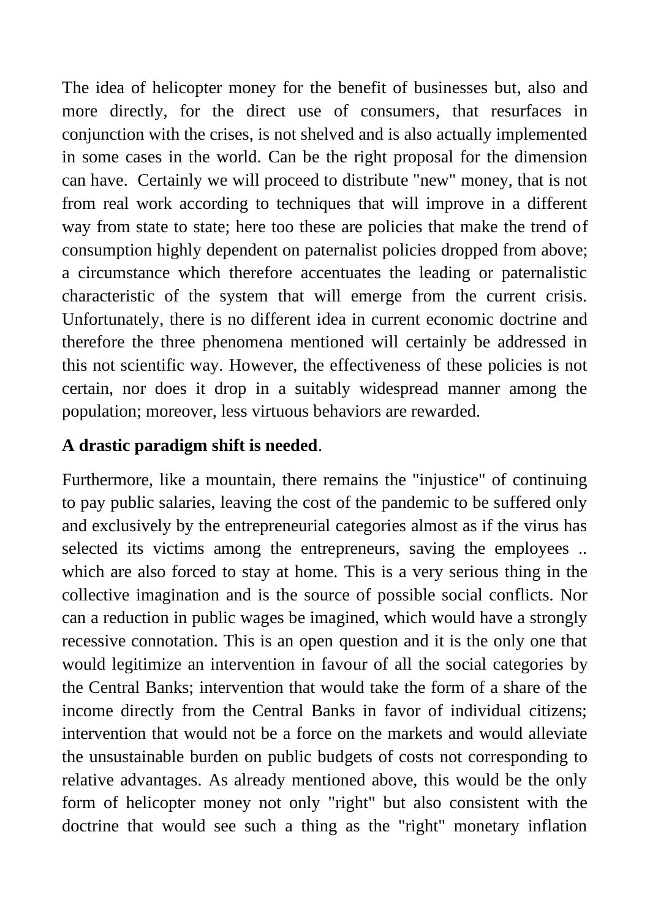The idea of helicopter money for the benefit of businesses but, also and more directly, for the direct use of consumers, that resurfaces in conjunction with the crises, is not shelved and is also actually implemented in some cases in the world. Can be the right proposal for the dimension can have. Certainly we will proceed to distribute "new" money, that is not from real work according to techniques that will improve in a different way from state to state; here too these are policies that make the trend of consumption highly dependent on paternalist policies dropped from above; a circumstance which therefore accentuates the leading or paternalistic characteristic of the system that will emerge from the current crisis. Unfortunately, there is no different idea in current economic doctrine and therefore the three phenomena mentioned will certainly be addressed in this not scientific way. However, the effectiveness of these policies is not certain, nor does it drop in a suitably widespread manner among the population; moreover, less virtuous behaviors are rewarded.

# **A drastic paradigm shift is needed**.

Furthermore, like a mountain, there remains the "injustice" of continuing to pay public salaries, leaving the cost of the pandemic to be suffered only and exclusively by the entrepreneurial categories almost as if the virus has selected its victims among the entrepreneurs, saving the employees ... which are also forced to stay at home. This is a very serious thing in the collective imagination and is the source of possible social conflicts. Nor can a reduction in public wages be imagined, which would have a strongly recessive connotation. This is an open question and it is the only one that would legitimize an intervention in favour of all the social categories by the Central Banks; intervention that would take the form of a share of the income directly from the Central Banks in favor of individual citizens; intervention that would not be a force on the markets and would alleviate the unsustainable burden on public budgets of costs not corresponding to relative advantages. As already mentioned above, this would be the only form of helicopter money not only "right" but also consistent with the doctrine that would see such a thing as the "right" monetary inflation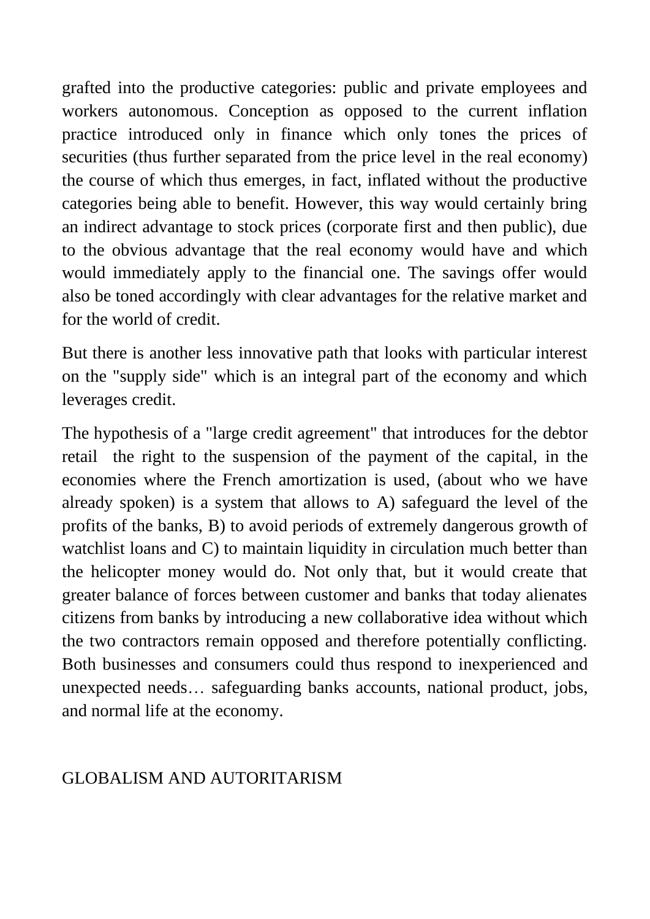grafted into the productive categories: public and private employees and workers autonomous. Conception as opposed to the current inflation practice introduced only in finance which only tones the prices of securities (thus further separated from the price level in the real economy) the course of which thus emerges, in fact, inflated without the productive categories being able to benefit. However, this way would certainly bring an indirect advantage to stock prices (corporate first and then public), due to the obvious advantage that the real economy would have and which would immediately apply to the financial one. The savings offer would also be toned accordingly with clear advantages for the relative market and for the world of credit.

But there is another less innovative path that looks with particular interest on the "supply side" which is an integral part of the economy and which leverages credit.

The hypothesis of a "large credit agreement" that introduces for the debtor retail the right to the suspension of the payment of the capital, in the economies where the French amortization is used, (about who we have already spoken) is a system that allows to A) safeguard the level of the profits of the banks, B) to avoid periods of extremely dangerous growth of watchlist loans and C) to maintain liquidity in circulation much better than the helicopter money would do. Not only that, but it would create that greater balance of forces between customer and banks that today alienates citizens from banks by introducing a new collaborative idea without which the two contractors remain opposed and therefore potentially conflicting. Both businesses and consumers could thus respond to inexperienced and unexpected needs… safeguarding banks accounts, national product, jobs, and normal life at the economy.

## GLOBALISM AND AUTORITARISM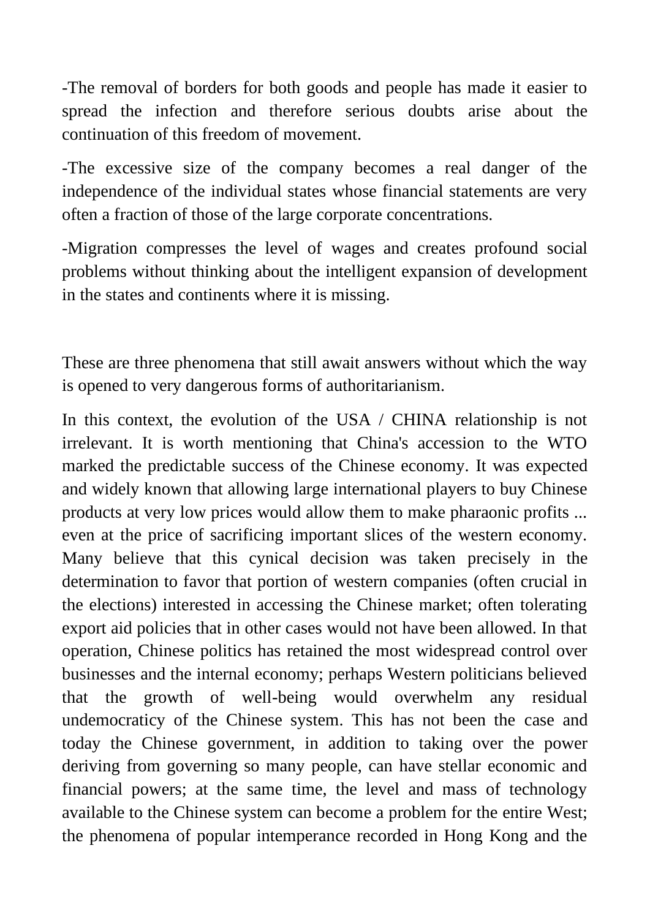-The removal of borders for both goods and people has made it easier to spread the infection and therefore serious doubts arise about the continuation of this freedom of movement.

-The excessive size of the company becomes a real danger of the independence of the individual states whose financial statements are very often a fraction of those of the large corporate concentrations.

-Migration compresses the level of wages and creates profound social problems without thinking about the intelligent expansion of development in the states and continents where it is missing.

These are three phenomena that still await answers without which the way is opened to very dangerous forms of authoritarianism.

In this context, the evolution of the USA / CHINA relationship is not irrelevant. It is worth mentioning that China's accession to the WTO marked the predictable success of the Chinese economy. It was expected and widely known that allowing large international players to buy Chinese products at very low prices would allow them to make pharaonic profits ... even at the price of sacrificing important slices of the western economy. Many believe that this cynical decision was taken precisely in the determination to favor that portion of western companies (often crucial in the elections) interested in accessing the Chinese market; often tolerating export aid policies that in other cases would not have been allowed. In that operation, Chinese politics has retained the most widespread control over businesses and the internal economy; perhaps Western politicians believed that the growth of well-being would overwhelm any residual undemocraticy of the Chinese system. This has not been the case and today the Chinese government, in addition to taking over the power deriving from governing so many people, can have stellar economic and financial powers; at the same time, the level and mass of technology available to the Chinese system can become a problem for the entire West; the phenomena of popular intemperance recorded in Hong Kong and the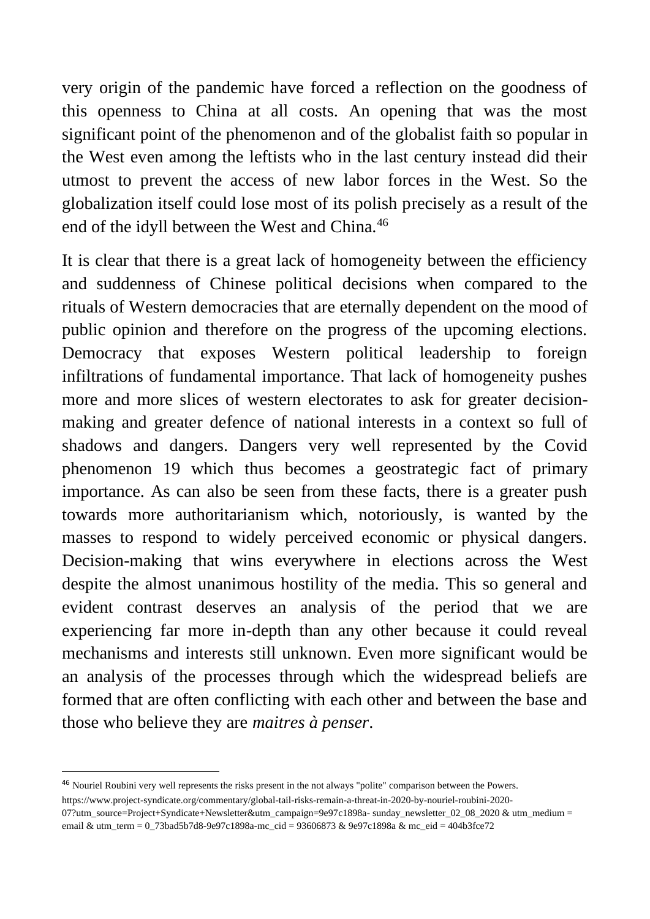very origin of the pandemic have forced a reflection on the goodness of this openness to China at all costs. An opening that was the most significant point of the phenomenon and of the globalist faith so popular in the West even among the leftists who in the last century instead did their utmost to prevent the access of new labor forces in the West. So the globalization itself could lose most of its polish precisely as a result of the end of the idyll between the West and China.<sup>46</sup>

It is clear that there is a great lack of homogeneity between the efficiency and suddenness of Chinese political decisions when compared to the rituals of Western democracies that are eternally dependent on the mood of public opinion and therefore on the progress of the upcoming elections. Democracy that exposes Western political leadership to foreign infiltrations of fundamental importance. That lack of homogeneity pushes more and more slices of western electorates to ask for greater decisionmaking and greater defence of national interests in a context so full of shadows and dangers. Dangers very well represented by the Covid phenomenon 19 which thus becomes a geostrategic fact of primary importance. As can also be seen from these facts, there is a greater push towards more authoritarianism which, notoriously, is wanted by the masses to respond to widely perceived economic or physical dangers. Decision-making that wins everywhere in elections across the West despite the almost unanimous hostility of the media. This so general and evident contrast deserves an analysis of the period that we are experiencing far more in-depth than any other because it could reveal mechanisms and interests still unknown. Even more significant would be an analysis of the processes through which the widespread beliefs are formed that are often conflicting with each other and between the base and those who believe they are *maitres à penser*.

<sup>46</sup> Nouriel Roubini very well represents the risks present in the not always "polite" comparison between the Powers.

https://www.project-syndicate.org/commentary/global-tail-risks-remain-a-threat-in-2020-by-nouriel-roubini-2020- 07?utm\_source=Project+Syndicate+Newsletter&utm\_campaign=9e97c1898a- sunday\_newsletter\_02\_08\_2020 & utm\_medium = email & utm\_term = 0\_73bad5b7d8-9e97c1898a-mc\_cid = 93606873 & 9e97c1898a & mc\_eid = 404b3fce72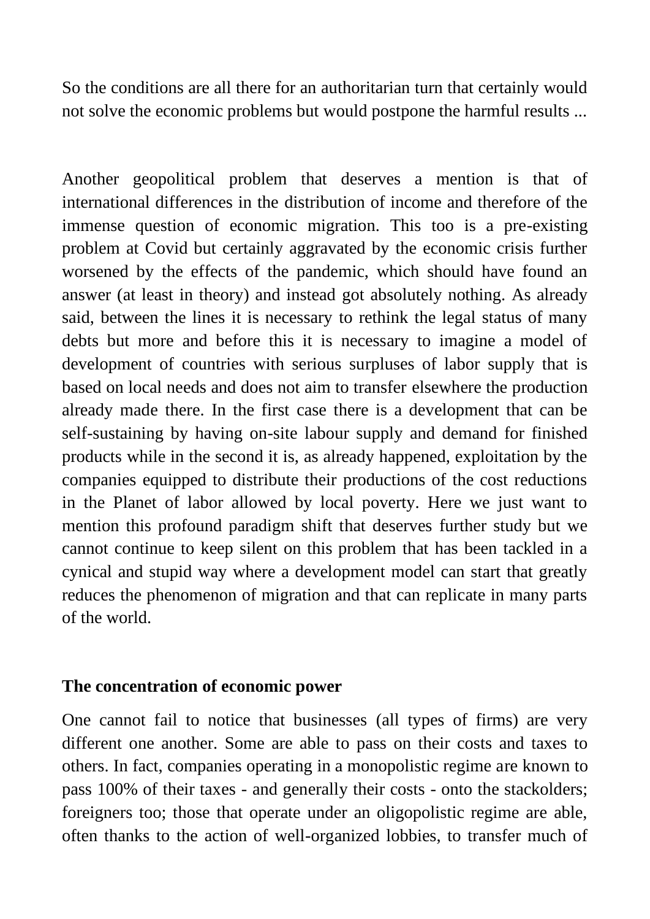So the conditions are all there for an authoritarian turn that certainly would not solve the economic problems but would postpone the harmful results ...

Another geopolitical problem that deserves a mention is that of international differences in the distribution of income and therefore of the immense question of economic migration. This too is a pre-existing problem at Covid but certainly aggravated by the economic crisis further worsened by the effects of the pandemic, which should have found an answer (at least in theory) and instead got absolutely nothing. As already said, between the lines it is necessary to rethink the legal status of many debts but more and before this it is necessary to imagine a model of development of countries with serious surpluses of labor supply that is based on local needs and does not aim to transfer elsewhere the production already made there. In the first case there is a development that can be self-sustaining by having on-site labour supply and demand for finished products while in the second it is, as already happened, exploitation by the companies equipped to distribute their productions of the cost reductions in the Planet of labor allowed by local poverty. Here we just want to mention this profound paradigm shift that deserves further study but we cannot continue to keep silent on this problem that has been tackled in a cynical and stupid way where a development model can start that greatly reduces the phenomenon of migration and that can replicate in many parts of the world.

#### **The concentration of economic power**

One cannot fail to notice that businesses (all types of firms) are very different one another. Some are able to pass on their costs and taxes to others. In fact, companies operating in a monopolistic regime are known to pass 100% of their taxes - and generally their costs - onto the stackolders; foreigners too; those that operate under an oligopolistic regime are able, often thanks to the action of well-organized lobbies, to transfer much of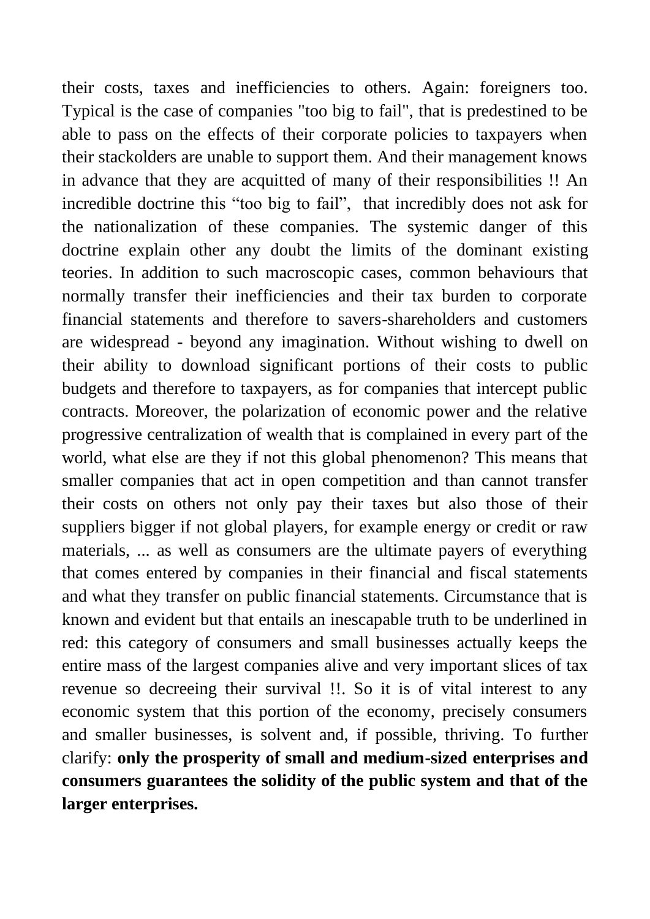their costs, taxes and inefficiencies to others. Again: foreigners too. Typical is the case of companies "too big to fail", that is predestined to be able to pass on the effects of their corporate policies to taxpayers when their stackolders are unable to support them. And their management knows in advance that they are acquitted of many of their responsibilities !! An incredible doctrine this "too big to fail", that incredibly does not ask for the nationalization of these companies. The systemic danger of this doctrine explain other any doubt the limits of the dominant existing teories. In addition to such macroscopic cases, common behaviours that normally transfer their inefficiencies and their tax burden to corporate financial statements and therefore to savers-shareholders and customers are widespread - beyond any imagination. Without wishing to dwell on their ability to download significant portions of their costs to public budgets and therefore to taxpayers, as for companies that intercept public contracts. Moreover, the polarization of economic power and the relative progressive centralization of wealth that is complained in every part of the world, what else are they if not this global phenomenon? This means that smaller companies that act in open competition and than cannot transfer their costs on others not only pay their taxes but also those of their suppliers bigger if not global players, for example energy or credit or raw materials, ... as well as consumers are the ultimate payers of everything that comes entered by companies in their financial and fiscal statements and what they transfer on public financial statements. Circumstance that is known and evident but that entails an inescapable truth to be underlined in red: this category of consumers and small businesses actually keeps the entire mass of the largest companies alive and very important slices of tax revenue so decreeing their survival !!. So it is of vital interest to any economic system that this portion of the economy, precisely consumers and smaller businesses, is solvent and, if possible, thriving. To further clarify: **only the prosperity of small and medium-sized enterprises and consumers guarantees the solidity of the public system and that of the larger enterprises.**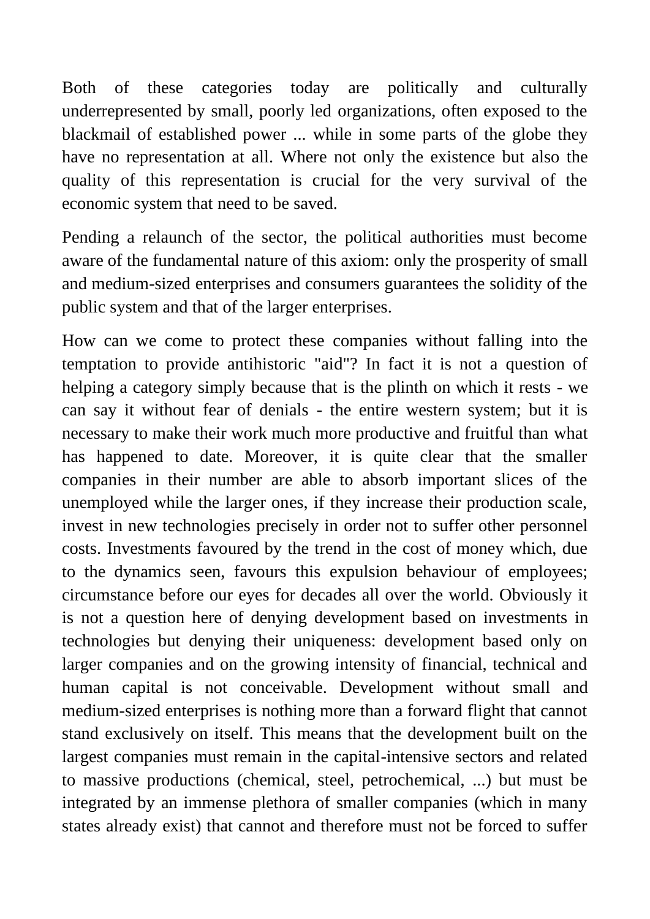Both of these categories today are politically and culturally underrepresented by small, poorly led organizations, often exposed to the blackmail of established power ... while in some parts of the globe they have no representation at all. Where not only the existence but also the quality of this representation is crucial for the very survival of the economic system that need to be saved.

Pending a relaunch of the sector, the political authorities must become aware of the fundamental nature of this axiom: only the prosperity of small and medium-sized enterprises and consumers guarantees the solidity of the public system and that of the larger enterprises.

How can we come to protect these companies without falling into the temptation to provide antihistoric "aid"? In fact it is not a question of helping a category simply because that is the plinth on which it rests - we can say it without fear of denials - the entire western system; but it is necessary to make their work much more productive and fruitful than what has happened to date. Moreover, it is quite clear that the smaller companies in their number are able to absorb important slices of the unemployed while the larger ones, if they increase their production scale, invest in new technologies precisely in order not to suffer other personnel costs. Investments favoured by the trend in the cost of money which, due to the dynamics seen, favours this expulsion behaviour of employees; circumstance before our eyes for decades all over the world. Obviously it is not a question here of denying development based on investments in technologies but denying their uniqueness: development based only on larger companies and on the growing intensity of financial, technical and human capital is not conceivable. Development without small and medium-sized enterprises is nothing more than a forward flight that cannot stand exclusively on itself. This means that the development built on the largest companies must remain in the capital-intensive sectors and related to massive productions (chemical, steel, petrochemical, ...) but must be integrated by an immense plethora of smaller companies (which in many states already exist) that cannot and therefore must not be forced to suffer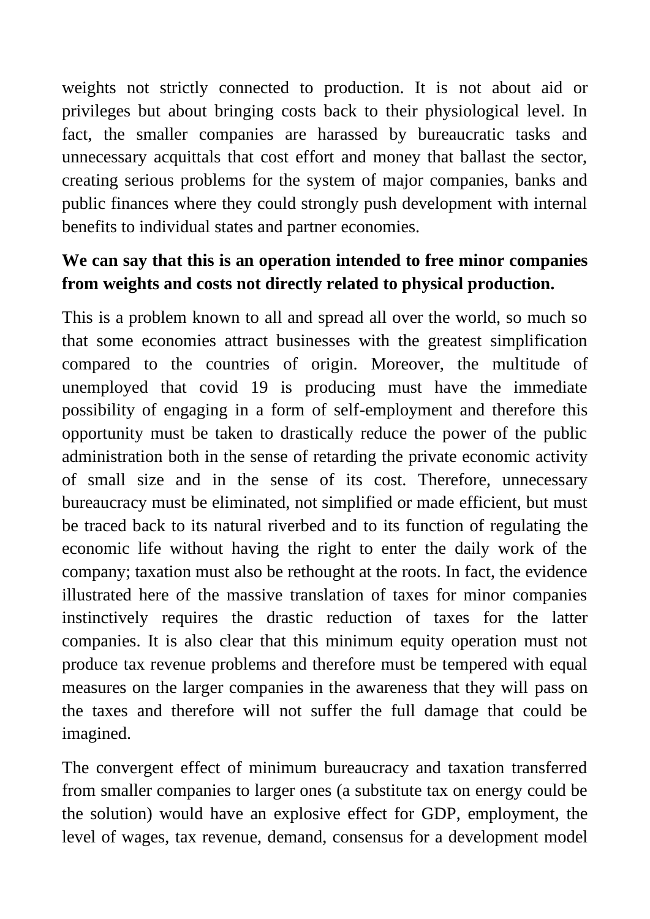weights not strictly connected to production. It is not about aid or privileges but about bringing costs back to their physiological level. In fact, the smaller companies are harassed by bureaucratic tasks and unnecessary acquittals that cost effort and money that ballast the sector, creating serious problems for the system of major companies, banks and public finances where they could strongly push development with internal benefits to individual states and partner economies.

# **We can say that this is an operation intended to free minor companies from weights and costs not directly related to physical production.**

This is a problem known to all and spread all over the world, so much so that some economies attract businesses with the greatest simplification compared to the countries of origin. Moreover, the multitude of unemployed that covid 19 is producing must have the immediate possibility of engaging in a form of self-employment and therefore this opportunity must be taken to drastically reduce the power of the public administration both in the sense of retarding the private economic activity of small size and in the sense of its cost. Therefore, unnecessary bureaucracy must be eliminated, not simplified or made efficient, but must be traced back to its natural riverbed and to its function of regulating the economic life without having the right to enter the daily work of the company; taxation must also be rethought at the roots. In fact, the evidence illustrated here of the massive translation of taxes for minor companies instinctively requires the drastic reduction of taxes for the latter companies. It is also clear that this minimum equity operation must not produce tax revenue problems and therefore must be tempered with equal measures on the larger companies in the awareness that they will pass on the taxes and therefore will not suffer the full damage that could be imagined.

The convergent effect of minimum bureaucracy and taxation transferred from smaller companies to larger ones (a substitute tax on energy could be the solution) would have an explosive effect for GDP, employment, the level of wages, tax revenue, demand, consensus for a development model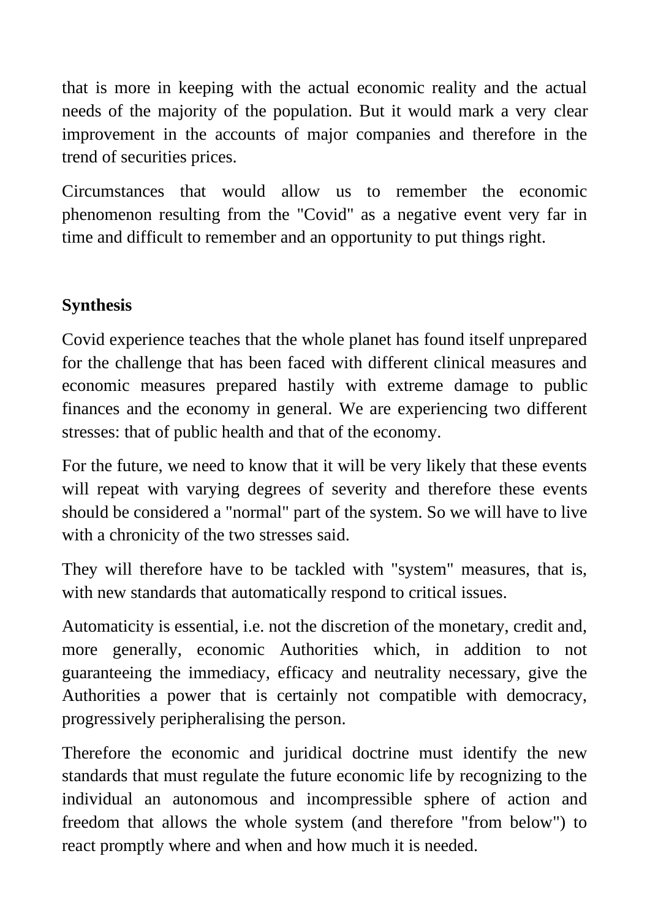that is more in keeping with the actual economic reality and the actual needs of the majority of the population. But it would mark a very clear improvement in the accounts of major companies and therefore in the trend of securities prices.

Circumstances that would allow us to remember the economic phenomenon resulting from the "Covid" as a negative event very far in time and difficult to remember and an opportunity to put things right.

# **Synthesis**

Covid experience teaches that the whole planet has found itself unprepared for the challenge that has been faced with different clinical measures and economic measures prepared hastily with extreme damage to public finances and the economy in general. We are experiencing two different stresses: that of public health and that of the economy.

For the future, we need to know that it will be very likely that these events will repeat with varying degrees of severity and therefore these events should be considered a "normal" part of the system. So we will have to live with a chronicity of the two stresses said.

They will therefore have to be tackled with "system" measures, that is, with new standards that automatically respond to critical issues.

Automaticity is essential, i.e. not the discretion of the monetary, credit and, more generally, economic Authorities which, in addition to not guaranteeing the immediacy, efficacy and neutrality necessary, give the Authorities a power that is certainly not compatible with democracy, progressively peripheralising the person.

Therefore the economic and juridical doctrine must identify the new standards that must regulate the future economic life by recognizing to the individual an autonomous and incompressible sphere of action and freedom that allows the whole system (and therefore "from below") to react promptly where and when and how much it is needed.